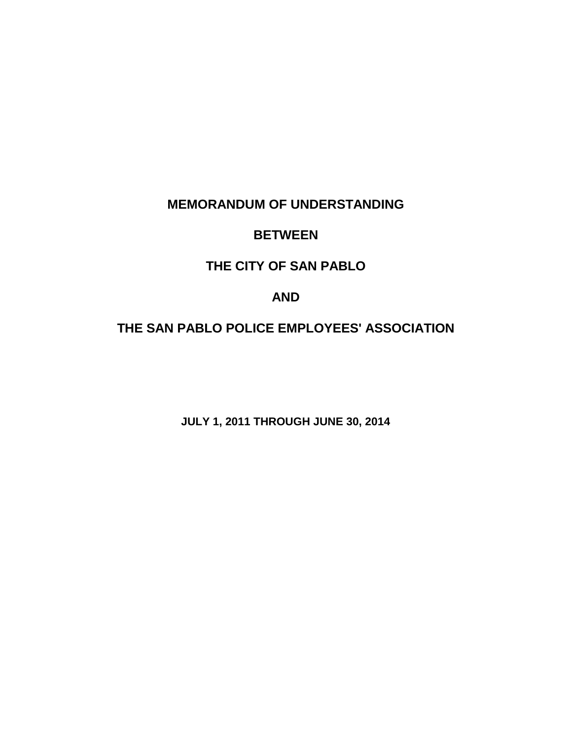# **MEMORANDUM OF UNDERSTANDING**

# **BETWEEN**

# **THE CITY OF SAN PABLO**

# **AND**

# **THE SAN PABLO POLICE EMPLOYEES' ASSOCIATION**

**JULY 1, 2011 THROUGH JUNE 30, 2014**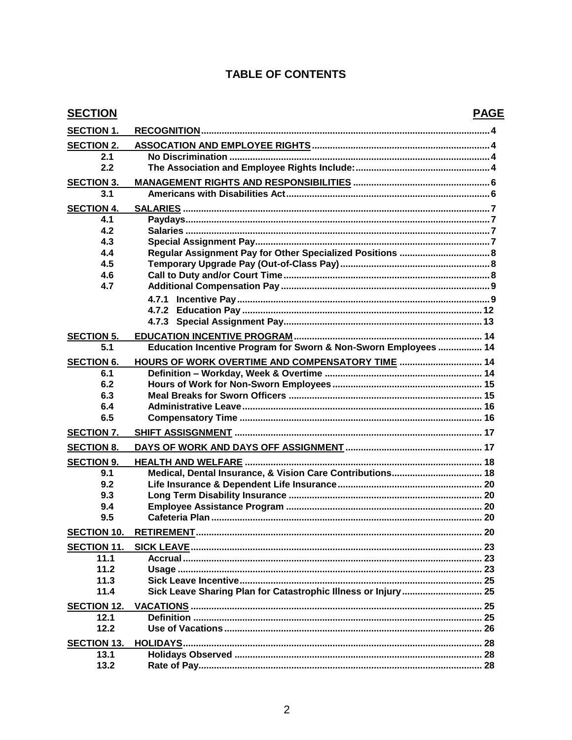## **TABLE OF CONTENTS**

| <b>SECTION</b>     |                                                                 | <b>PAGE</b> |
|--------------------|-----------------------------------------------------------------|-------------|
| <b>SECTION 1.</b>  |                                                                 |             |
| <b>SECTION 2.</b>  |                                                                 |             |
| 2.1                |                                                                 |             |
| 2.2                |                                                                 |             |
| <b>SECTION 3.</b>  |                                                                 |             |
| 3.1                |                                                                 |             |
| <b>SECTION 4.</b>  |                                                                 |             |
| 4.1                |                                                                 |             |
| 4.2                |                                                                 |             |
| 4.3                |                                                                 |             |
| 4.4                | Regular Assignment Pay for Other Specialized Positions  8       |             |
| 4.5                |                                                                 |             |
| 4.6                |                                                                 |             |
| 4.7                |                                                                 |             |
|                    | 4.7.1                                                           |             |
|                    |                                                                 |             |
|                    |                                                                 |             |
|                    |                                                                 |             |
| <b>SECTION 5.</b>  |                                                                 |             |
| 5.1                | Education Incentive Program for Sworn & Non-Sworn Employees  14 |             |
| <b>SECTION 6.</b>  | HOURS OF WORK OVERTIME AND COMPENSATORY TIME  14                |             |
| 6.1                |                                                                 |             |
| 6.2                |                                                                 |             |
| 6.3                |                                                                 |             |
| 6.4                |                                                                 |             |
| 6.5                |                                                                 |             |
| <b>SECTION 7.</b>  |                                                                 |             |
| <b>SECTION 8.</b>  |                                                                 |             |
| <b>SECTION 9.</b>  |                                                                 |             |
| 9.1                | Medical, Dental Insurance, & Vision Care Contributions 18       |             |
| 9.2                |                                                                 |             |
| 9.3                |                                                                 |             |
| 9.4                |                                                                 |             |
| 9.5                |                                                                 |             |
| <b>SECTION 10.</b> |                                                                 |             |
| <b>SECTION 11.</b> |                                                                 |             |
| 11.1               |                                                                 |             |
| 11.2               |                                                                 |             |
| 11.3               |                                                                 |             |
| 11.4               |                                                                 |             |
| <b>SECTION 12.</b> |                                                                 |             |
| 12.1               |                                                                 |             |
| 12.2               |                                                                 |             |
| <b>SECTION 13.</b> |                                                                 |             |
| 13.1               |                                                                 |             |
| 13.2               |                                                                 |             |
|                    |                                                                 |             |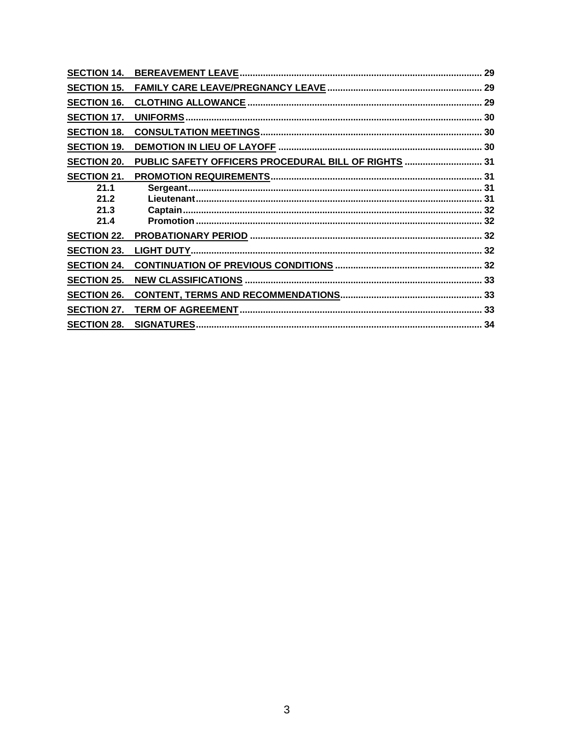| <b>SECTION 14.</b> |                                                      | 29 |
|--------------------|------------------------------------------------------|----|
| <b>SECTION 15.</b> |                                                      |    |
| <b>SECTION 16.</b> |                                                      |    |
| <b>SECTION 17.</b> |                                                      |    |
| <b>SECTION 18.</b> |                                                      |    |
| <b>SECTION 19.</b> |                                                      |    |
| <b>SECTION 20.</b> | PUBLIC SAFETY OFFICERS PROCEDURAL BILL OF RIGHTS  31 |    |
| <b>SECTION 21.</b> |                                                      |    |
| 21.1               |                                                      |    |
| 21.2               |                                                      |    |
| 21.3               |                                                      |    |
| 21.4               |                                                      |    |
| <b>SECTION 22.</b> |                                                      |    |
| <b>SECTION 23.</b> |                                                      |    |
| <b>SECTION 24.</b> |                                                      |    |
| <b>SECTION 25.</b> |                                                      |    |
| <b>SECTION 26.</b> |                                                      |    |
| <b>SECTION 27.</b> |                                                      |    |
| <b>SECTION 28.</b> | <b>SIGNATURES</b>                                    |    |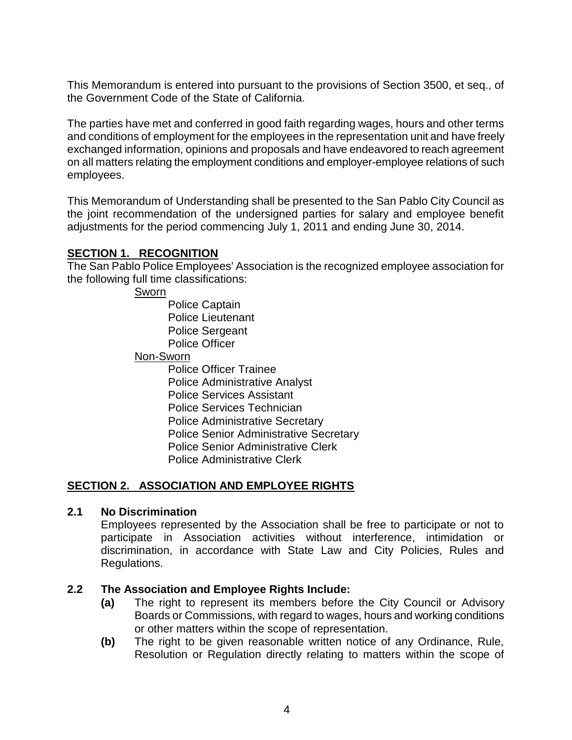This Memorandum is entered into pursuant to the provisions of Section 3500, et seq., of the Government Code of the State of California.

The parties have met and conferred in good faith regarding wages, hours and other terms and conditions of employment for the employees in the representation unit and have freely exchanged information, opinions and proposals and have endeavored to reach agreement on all matters relating the employment conditions and employer-employee relations of such employees.

This Memorandum of Understanding shall be presented to the San Pablo City Council as the joint recommendation of the undersigned parties for salary and employee benefit adjustments for the period commencing July 1, 2011 and ending June 30, 2014.

#### **SECTION 1. RECOGNITION**

The San Pablo Police Employees' Association is the recognized employee association for the following full time classifications:

Sworn

Police Captain Police Lieutenant Police Sergeant Police Officer

#### Non-Sworn

Police Officer Trainee Police Administrative Analyst Police Services Assistant Police Services Technician Police Administrative Secretary Police Senior Administrative Secretary Police Senior Administrative Clerk Police Administrative Clerk

#### **SECTION 2. ASSOCIATION AND EMPLOYEE RIGHTS**

#### **2.1 No Discrimination**

Employees represented by the Association shall be free to participate or not to participate in Association activities without interference, intimidation or discrimination, in accordance with State Law and City Policies, Rules and Regulations.

#### **2.2 The Association and Employee Rights Include:**

- **(a)** The right to represent its members before the City Council or Advisory Boards or Commissions, with regard to wages, hours and working conditions or other matters within the scope of representation.
- **(b)** The right to be given reasonable written notice of any Ordinance, Rule, Resolution or Regulation directly relating to matters within the scope of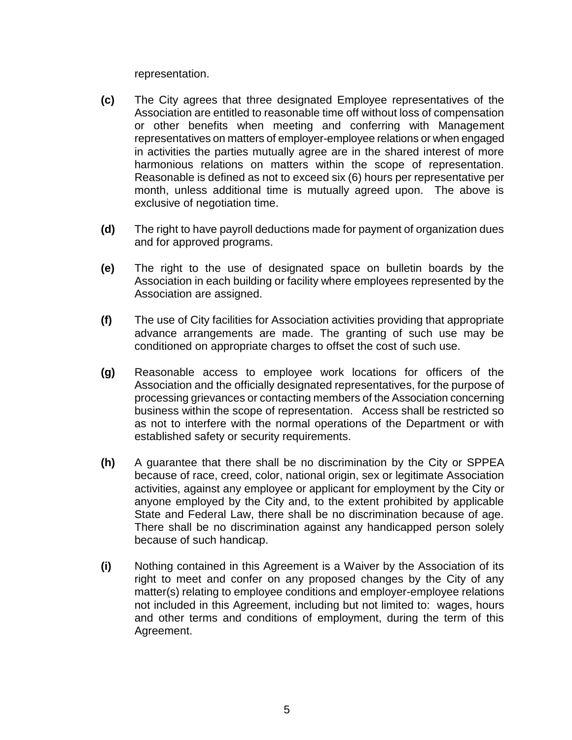representation.

- **(c)** The City agrees that three designated Employee representatives of the Association are entitled to reasonable time off without loss of compensation or other benefits when meeting and conferring with Management representatives on matters of employer-employee relations or when engaged in activities the parties mutually agree are in the shared interest of more harmonious relations on matters within the scope of representation. Reasonable is defined as not to exceed six (6) hours per representative per month, unless additional time is mutually agreed upon. The above is exclusive of negotiation time.
- **(d)** The right to have payroll deductions made for payment of organization dues and for approved programs.
- **(e)** The right to the use of designated space on bulletin boards by the Association in each building or facility where employees represented by the Association are assigned.
- **(f)** The use of City facilities for Association activities providing that appropriate advance arrangements are made. The granting of such use may be conditioned on appropriate charges to offset the cost of such use.
- **(g)** Reasonable access to employee work locations for officers of the Association and the officially designated representatives, for the purpose of processing grievances or contacting members of the Association concerning business within the scope of representation. Access shall be restricted so as not to interfere with the normal operations of the Department or with established safety or security requirements.
- **(h)** A guarantee that there shall be no discrimination by the City or SPPEA because of race, creed, color, national origin, sex or legitimate Association activities, against any employee or applicant for employment by the City or anyone employed by the City and, to the extent prohibited by applicable State and Federal Law, there shall be no discrimination because of age. There shall be no discrimination against any handicapped person solely because of such handicap.
- **(i)** Nothing contained in this Agreement is a Waiver by the Association of its right to meet and confer on any proposed changes by the City of any matter(s) relating to employee conditions and employer-employee relations not included in this Agreement, including but not limited to: wages, hours and other terms and conditions of employment, during the term of this Agreement.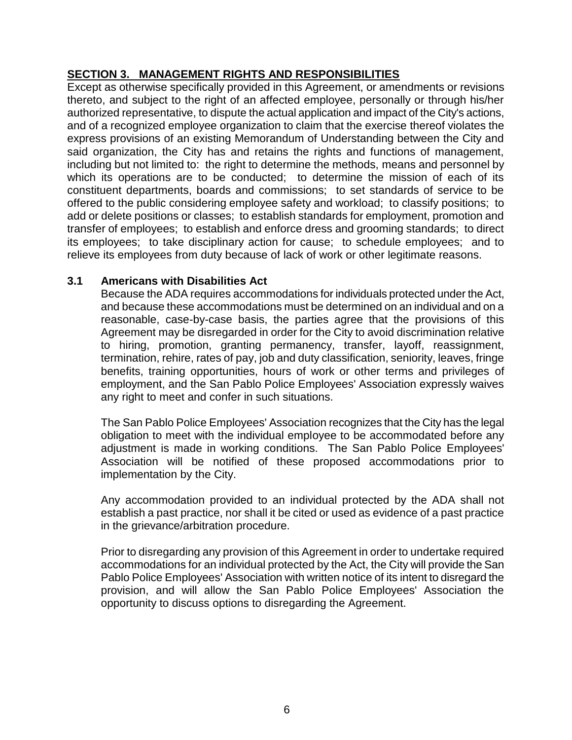## **SECTION 3. MANAGEMENT RIGHTS AND RESPONSIBILITIES**

Except as otherwise specifically provided in this Agreement, or amendments or revisions thereto, and subject to the right of an affected employee, personally or through his/her authorized representative, to dispute the actual application and impact of the City's actions, and of a recognized employee organization to claim that the exercise thereof violates the express provisions of an existing Memorandum of Understanding between the City and said organization, the City has and retains the rights and functions of management, including but not limited to: the right to determine the methods, means and personnel by which its operations are to be conducted; to determine the mission of each of its constituent departments, boards and commissions; to set standards of service to be offered to the public considering employee safety and workload; to classify positions; to add or delete positions or classes; to establish standards for employment, promotion and transfer of employees; to establish and enforce dress and grooming standards; to direct its employees; to take disciplinary action for cause; to schedule employees; and to relieve its employees from duty because of lack of work or other legitimate reasons.

## **3.1 Americans with Disabilities Act**

Because the ADA requires accommodations for individuals protected under the Act, and because these accommodations must be determined on an individual and on a reasonable, case-by-case basis, the parties agree that the provisions of this Agreement may be disregarded in order for the City to avoid discrimination relative to hiring, promotion, granting permanency, transfer, layoff, reassignment, termination, rehire, rates of pay, job and duty classification, seniority, leaves, fringe benefits, training opportunities, hours of work or other terms and privileges of employment, and the San Pablo Police Employees' Association expressly waives any right to meet and confer in such situations.

The San Pablo Police Employees' Association recognizes that the City has the legal obligation to meet with the individual employee to be accommodated before any adjustment is made in working conditions. The San Pablo Police Employees' Association will be notified of these proposed accommodations prior to implementation by the City.

Any accommodation provided to an individual protected by the ADA shall not establish a past practice, nor shall it be cited or used as evidence of a past practice in the grievance/arbitration procedure.

Prior to disregarding any provision of this Agreement in order to undertake required accommodations for an individual protected by the Act, the City will provide the San Pablo Police Employees' Association with written notice of its intent to disregard the provision, and will allow the San Pablo Police Employees' Association the opportunity to discuss options to disregarding the Agreement.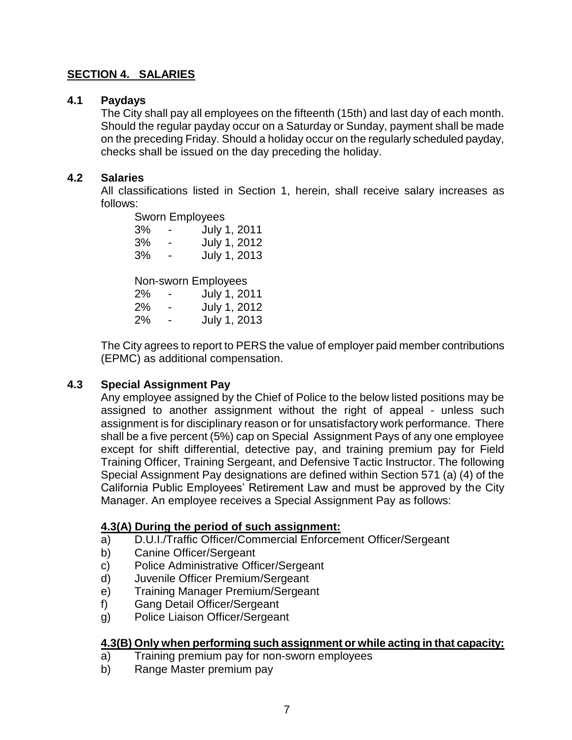#### **SECTION 4. SALARIES**

#### **4.1 Paydays**

The City shall pay all employees on the fifteenth (15th) and last day of each month. Should the regular payday occur on a Saturday or Sunday, payment shall be made on the preceding Friday. Should a holiday occur on the regularly scheduled payday, checks shall be issued on the day preceding the holiday.

#### **4.2 Salaries**

All classifications listed in Section 1, herein, shall receive salary increases as follows:

Sworn Employees 3% - July 1, 2011 3% - July 1, 2012 3% - July 1, 2013 Non-sworn Employees 2% - July 1, 2011 2% - July 1, 2012 2% - July 1, 2013

The City agrees to report to PERS the value of employer paid member contributions (EPMC) as additional compensation.

#### **4.3 Special Assignment Pay**

Any employee assigned by the Chief of Police to the below listed positions may be assigned to another assignment without the right of appeal - unless such assignment is for disciplinary reason or for unsatisfactory work performance. There shall be a five percent (5%) cap on Special Assignment Pays of any one employee except for shift differential, detective pay, and training premium pay for Field Training Officer, Training Sergeant, and Defensive Tactic Instructor. The following Special Assignment Pay designations are defined within Section 571 (a) (4) of the California Public Employees' Retirement Law and must be approved by the City Manager. An employee receives a Special Assignment Pay as follows:

#### **4.3(A) During the period of such assignment:**

- a) D.U.I./Traffic Officer/Commercial Enforcement Officer/Sergeant
- b) Canine Officer/Sergeant
- c) Police Administrative Officer/Sergeant
- d) Juvenile Officer Premium/Sergeant
- e) Training Manager Premium/Sergeant
- f) Gang Detail Officer/Sergeant
- g) Police Liaison Officer/Sergeant

#### **4.3(B) Only when performing such assignment or while acting in that capacity:**

- a) Training premium pay for non-sworn employees
- b) Range Master premium pay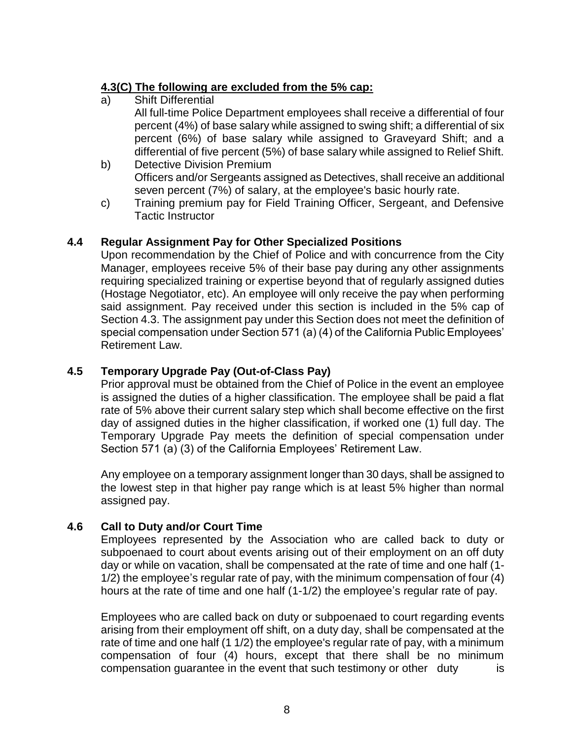## **4.3(C) The following are excluded from the 5% cap:**

a) Shift Differential

All full-time Police Department employees shall receive a differential of four percent (4%) of base salary while assigned to swing shift; a differential of six percent (6%) of base salary while assigned to Graveyard Shift; and a differential of five percent (5%) of base salary while assigned to Relief Shift.

- b) Detective Division Premium Officers and/or Sergeants assigned as Detectives, shall receive an additional seven percent (7%) of salary, at the employee's basic hourly rate.
- c) Training premium pay for Field Training Officer, Sergeant, and Defensive Tactic Instructor

## **4.4 Regular Assignment Pay for Other Specialized Positions**

Upon recommendation by the Chief of Police and with concurrence from the City Manager, employees receive 5% of their base pay during any other assignments requiring specialized training or expertise beyond that of regularly assigned duties (Hostage Negotiator, etc). An employee will only receive the pay when performing said assignment. Pay received under this section is included in the 5% cap of Section 4.3. The assignment pay under this Section does not meet the definition of special compensation under Section 571 (a) (4) of the California Public Employees' Retirement Law.

## **4.5 Temporary Upgrade Pay (Out-of-Class Pay)**

Prior approval must be obtained from the Chief of Police in the event an employee is assigned the duties of a higher classification. The employee shall be paid a flat rate of 5% above their current salary step which shall become effective on the first day of assigned duties in the higher classification, if worked one (1) full day. The Temporary Upgrade Pay meets the definition of special compensation under Section 571 (a) (3) of the California Employees' Retirement Law.

Any employee on a temporary assignment longer than 30 days, shall be assigned to the lowest step in that higher pay range which is at least 5% higher than normal assigned pay.

## **4.6 Call to Duty and/or Court Time**

Employees represented by the Association who are called back to duty or subpoenaed to court about events arising out of their employment on an off duty day or while on vacation, shall be compensated at the rate of time and one half (1- 1/2) the employee's regular rate of pay, with the minimum compensation of four (4) hours at the rate of time and one half (1-1/2) the employee's regular rate of pay.

Employees who are called back on duty or subpoenaed to court regarding events arising from their employment off shift, on a duty day, shall be compensated at the rate of time and one half (1 1/2) the employee's regular rate of pay, with a minimum compensation of four (4) hours, except that there shall be no minimum compensation quarantee in the event that such testimony or other duty is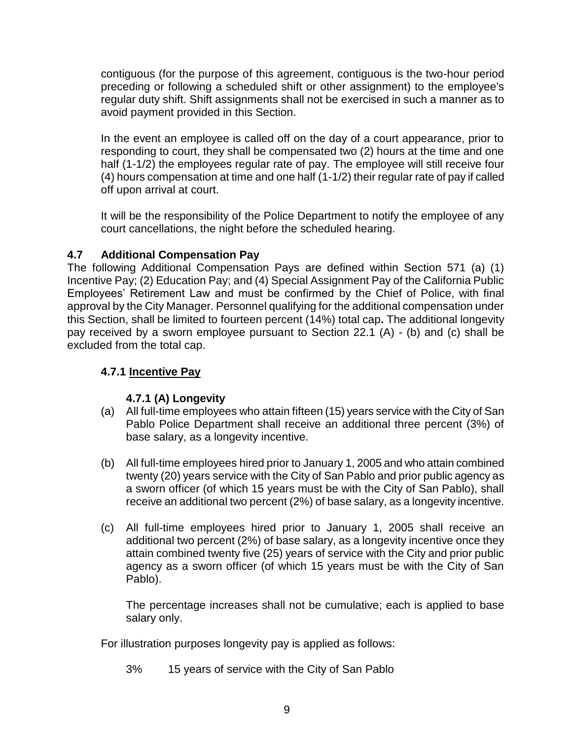contiguous (for the purpose of this agreement, contiguous is the two-hour period preceding or following a scheduled shift or other assignment) to the employee's regular duty shift. Shift assignments shall not be exercised in such a manner as to avoid payment provided in this Section.

In the event an employee is called off on the day of a court appearance, prior to responding to court, they shall be compensated two (2) hours at the time and one half (1-1/2) the employees regular rate of pay. The employee will still receive four (4) hours compensation at time and one half (1-1/2) their regular rate of pay if called off upon arrival at court.

It will be the responsibility of the Police Department to notify the employee of any court cancellations, the night before the scheduled hearing.

## **4.7 Additional Compensation Pay**

The following Additional Compensation Pays are defined within Section 571 (a) (1) Incentive Pay; (2) Education Pay; and (4) Special Assignment Pay of the California Public Employees' Retirement Law and must be confirmed by the Chief of Police, with final approval by the City Manager. Personnel qualifying for the additional compensation under this Section, shall be limited to fourteen percent (14%) total cap**.** The additional longevity pay received by a sworn employee pursuant to Section 22.1 (A) - (b) and (c) shall be excluded from the total cap.

## **4.7.1 Incentive Pay**

## **4.7.1 (A) Longevity**

- (a) All full-time employees who attain fifteen (15) years service with the City of San Pablo Police Department shall receive an additional three percent (3%) of base salary, as a longevity incentive.
- (b) All full-time employees hired prior to January 1, 2005 and who attain combined twenty (20) years service with the City of San Pablo and prior public agency as a sworn officer (of which 15 years must be with the City of San Pablo), shall receive an additional two percent (2%) of base salary, as a longevity incentive.
- (c) All full-time employees hired prior to January 1, 2005 shall receive an additional two percent (2%) of base salary, as a longevity incentive once they attain combined twenty five (25) years of service with the City and prior public agency as a sworn officer (of which 15 years must be with the City of San Pablo).

The percentage increases shall not be cumulative; each is applied to base salary only.

For illustration purposes longevity pay is applied as follows:

3% 15 years of service with the City of San Pablo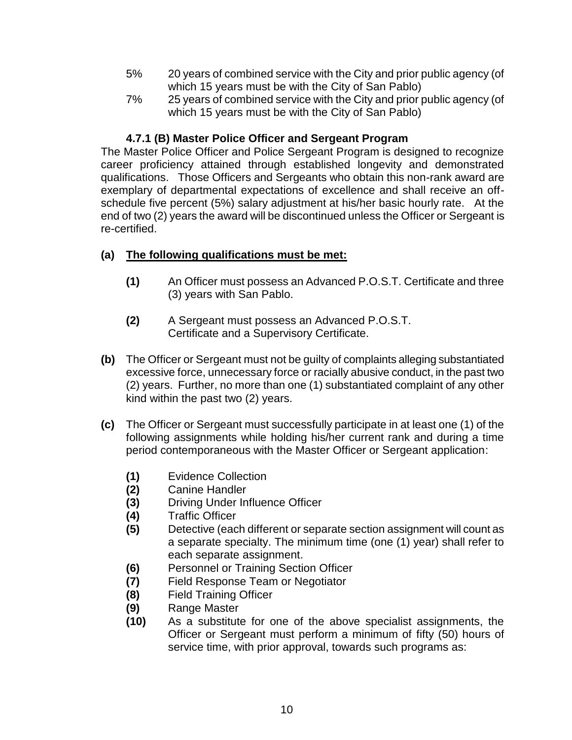- 5% 20 years of combined service with the City and prior public agency (of which 15 years must be with the City of San Pablo)
- 7% 25 years of combined service with the City and prior public agency (of which 15 years must be with the City of San Pablo)

## **4.7.1 (B) Master Police Officer and Sergeant Program**

The Master Police Officer and Police Sergeant Program is designed to recognize career proficiency attained through established longevity and demonstrated qualifications. Those Officers and Sergeants who obtain this non-rank award are exemplary of departmental expectations of excellence and shall receive an offschedule five percent (5%) salary adjustment at his/her basic hourly rate. At the end of two (2) years the award will be discontinued unless the Officer or Sergeant is re-certified.

## **(a) The following qualifications must be met:**

- **(1)** An Officer must possess an Advanced P.O.S.T. Certificate and three (3) years with San Pablo.
- **(2)** A Sergeant must possess an Advanced P.O.S.T. Certificate and a Supervisory Certificate.
- **(b)** The Officer or Sergeant must not be guilty of complaints alleging substantiated excessive force, unnecessary force or racially abusive conduct, in the past two (2) years. Further, no more than one (1) substantiated complaint of any other kind within the past two (2) years.
- **(c)** The Officer or Sergeant must successfully participate in at least one (1) of the following assignments while holding his/her current rank and during a time period contemporaneous with the Master Officer or Sergeant application:
	- **(1)** Evidence Collection
	-
	- **(2)** Canine Handler **(3)** Driving Under Influence Officer
	- **(4)** Traffic Officer
	- **(5)** Detective (each different or separate section assignment will count as a separate specialty. The minimum time (one (1) year) shall refer to each separate assignment.
	- **(6)** Personnel or Training Section Officer
	- **(7)** Field Response Team or Negotiator
	- **(8)** Field Training Officer
	- **(9)** Range Master
	- **(10)** As a substitute for one of the above specialist assignments, the Officer or Sergeant must perform a minimum of fifty (50) hours of service time, with prior approval, towards such programs as: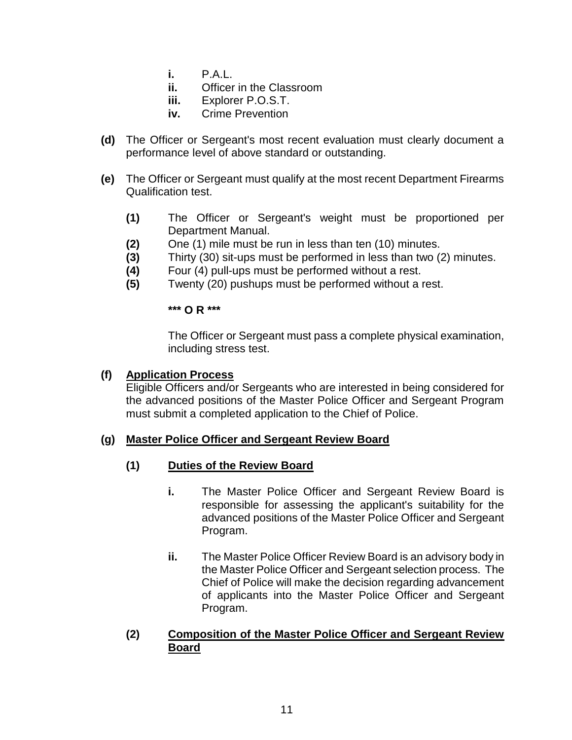- **i.** P.A.L.
- **ii.** Officer in the Classroom
- **iii.** Explorer P.O.S.T.
- **iv.** Crime Prevention
- **(d)** The Officer or Sergeant's most recent evaluation must clearly document a performance level of above standard or outstanding.
- **(e)** The Officer or Sergeant must qualify at the most recent Department Firearms Qualification test.
	- **(1)** The Officer or Sergeant's weight must be proportioned per Department Manual.
	- **(2)** One (1) mile must be run in less than ten (10) minutes.
	- **(3)** Thirty (30) sit-ups must be performed in less than two (2) minutes.
	- **(4)** Four (4) pull-ups must be performed without a rest.
	- **(5)** Twenty (20) pushups must be performed without a rest.

**\*\*\* O R \*\*\***

The Officer or Sergeant must pass a complete physical examination, including stress test.

#### **(f) Application Process**

Eligible Officers and/or Sergeants who are interested in being considered for the advanced positions of the Master Police Officer and Sergeant Program must submit a completed application to the Chief of Police.

#### **(g) Master Police Officer and Sergeant Review Board**

## **(1) Duties of the Review Board**

- **i.** The Master Police Officer and Sergeant Review Board is responsible for assessing the applicant's suitability for the advanced positions of the Master Police Officer and Sergeant Program.
- **ii.** The Master Police Officer Review Board is an advisory body in the Master Police Officer and Sergeant selection process. The Chief of Police will make the decision regarding advancement of applicants into the Master Police Officer and Sergeant Program.

#### **(2) Composition of the Master Police Officer and Sergeant Review Board**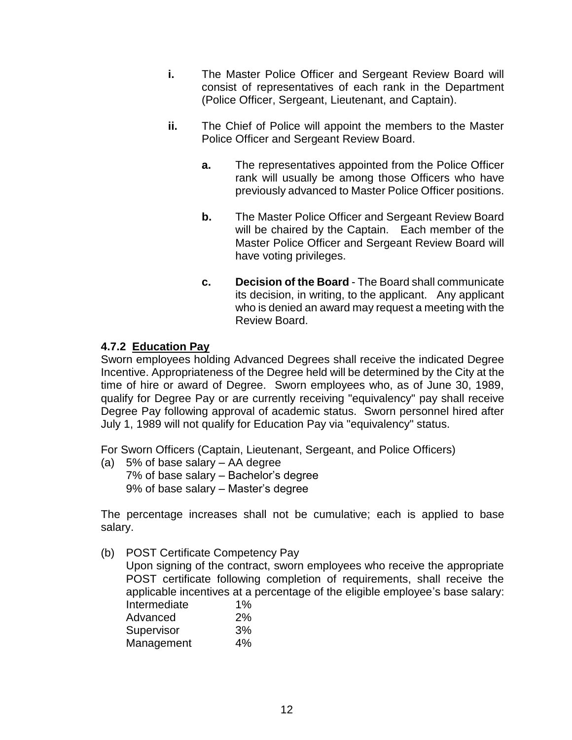- **i.** The Master Police Officer and Sergeant Review Board will consist of representatives of each rank in the Department (Police Officer, Sergeant, Lieutenant, and Captain).
- **ii.** The Chief of Police will appoint the members to the Master Police Officer and Sergeant Review Board.
	- **a.** The representatives appointed from the Police Officer rank will usually be among those Officers who have previously advanced to Master Police Officer positions.
	- **b.** The Master Police Officer and Sergeant Review Board will be chaired by the Captain. Each member of the Master Police Officer and Sergeant Review Board will have voting privileges.
	- **c. Decision of the Board** The Board shall communicate its decision, in writing, to the applicant. Any applicant who is denied an award may request a meeting with the Review Board.

## **4.7.2 Education Pay**

Sworn employees holding Advanced Degrees shall receive the indicated Degree Incentive. Appropriateness of the Degree held will be determined by the City at the time of hire or award of Degree. Sworn employees who, as of June 30, 1989, qualify for Degree Pay or are currently receiving "equivalency" pay shall receive Degree Pay following approval of academic status. Sworn personnel hired after July 1, 1989 will not qualify for Education Pay via "equivalency" status.

For Sworn Officers (Captain, Lieutenant, Sergeant, and Police Officers)

(a) 5% of base salary – AA degree 7% of base salary – Bachelor's degree 9% of base salary – Master's degree

The percentage increases shall not be cumulative; each is applied to base salary.

(b) POST Certificate Competency Pay

Upon signing of the contract, sworn employees who receive the appropriate POST certificate following completion of requirements, shall receive the applicable incentives at a percentage of the eligible employee's base salary:

| Intermediate | $1\%$ |
|--------------|-------|
| Advanced     | 2%    |
| Supervisor   | 3%    |
| Management   | 4%    |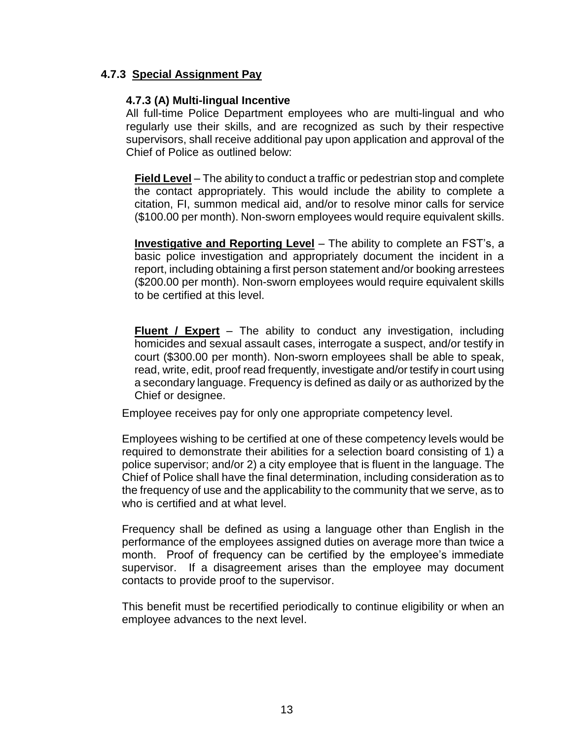#### **4.7.3 Special Assignment Pay**

#### **4.7.3 (A) Multi-lingual Incentive**

All full-time Police Department employees who are multi-lingual and who regularly use their skills, and are recognized as such by their respective supervisors, shall receive additional pay upon application and approval of the Chief of Police as outlined below:

**Field Level** – The ability to conduct a traffic or pedestrian stop and complete the contact appropriately. This would include the ability to complete a citation, FI, summon medical aid, and/or to resolve minor calls for service (\$100.00 per month). Non-sworn employees would require equivalent skills.

**Investigative and Reporting Level** – The ability to complete an FST's, a basic police investigation and appropriately document the incident in a report, including obtaining a first person statement and/or booking arrestees (\$200.00 per month). Non-sworn employees would require equivalent skills to be certified at this level.

**Fluent / Expert** – The ability to conduct any investigation, including homicides and sexual assault cases, interrogate a suspect, and/or testify in court (\$300.00 per month). Non-sworn employees shall be able to speak, read, write, edit, proof read frequently, investigate and/or testify in court using a secondary language. Frequency is defined as daily or as authorized by the Chief or designee.

Employee receives pay for only one appropriate competency level.

Employees wishing to be certified at one of these competency levels would be required to demonstrate their abilities for a selection board consisting of 1) a police supervisor; and/or 2) a city employee that is fluent in the language. The Chief of Police shall have the final determination, including consideration as to the frequency of use and the applicability to the community that we serve, as to who is certified and at what level.

Frequency shall be defined as using a language other than English in the performance of the employees assigned duties on average more than twice a month. Proof of frequency can be certified by the employee's immediate supervisor. If a disagreement arises than the employee may document contacts to provide proof to the supervisor.

This benefit must be recertified periodically to continue eligibility or when an employee advances to the next level.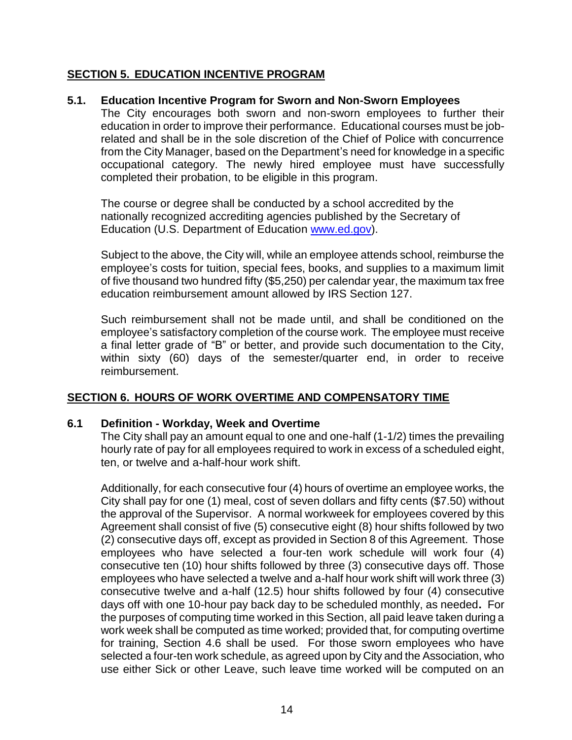#### **SECTION 5. EDUCATION INCENTIVE PROGRAM**

#### **5.1. Education Incentive Program for Sworn and Non-Sworn Employees**

The City encourages both sworn and non-sworn employees to further their education in order to improve their performance. Educational courses must be jobrelated and shall be in the sole discretion of the Chief of Police with concurrence from the City Manager, based on the Department's need for knowledge in a specific occupational category. The newly hired employee must have successfully completed their probation, to be eligible in this program.

The course or degree shall be conducted by a school accredited by the nationally recognized accrediting agencies published by the Secretary of Education (U.S. Department of Education [www.ed.gov\)](http://www.ed.gov/).

Subject to the above, the City will, while an employee attends school, reimburse the employee's costs for tuition, special fees, books, and supplies to a maximum limit of five thousand two hundred fifty (\$5,250) per calendar year, the maximum tax free education reimbursement amount allowed by IRS Section 127.

Such reimbursement shall not be made until, and shall be conditioned on the employee's satisfactory completion of the course work. The employee must receive a final letter grade of "B" or better, and provide such documentation to the City, within sixty (60) days of the semester/quarter end, in order to receive reimbursement.

## **SECTION 6. HOURS OF WORK OVERTIME AND COMPENSATORY TIME**

#### **6.1 Definition - Workday, Week and Overtime**

The City shall pay an amount equal to one and one-half (1-1/2) times the prevailing hourly rate of pay for all employees required to work in excess of a scheduled eight, ten, or twelve and a-half-hour work shift.

Additionally, for each consecutive four (4) hours of overtime an employee works, the City shall pay for one (1) meal, cost of seven dollars and fifty cents (\$7.50) without the approval of the Supervisor. A normal workweek for employees covered by this Agreement shall consist of five (5) consecutive eight (8) hour shifts followed by two (2) consecutive days off, except as provided in Section 8 of this Agreement. Those employees who have selected a four-ten work schedule will work four (4) consecutive ten (10) hour shifts followed by three (3) consecutive days off. Those employees who have selected a twelve and a-half hour work shift will work three (3) consecutive twelve and a-half (12.5) hour shifts followed by four (4) consecutive days off with one 10-hour pay back day to be scheduled monthly, as needed**.** For the purposes of computing time worked in this Section, all paid leave taken during a work week shall be computed as time worked; provided that, for computing overtime for training, Section 4.6 shall be used. For those sworn employees who have selected a four-ten work schedule, as agreed upon by City and the Association, who use either Sick or other Leave, such leave time worked will be computed on an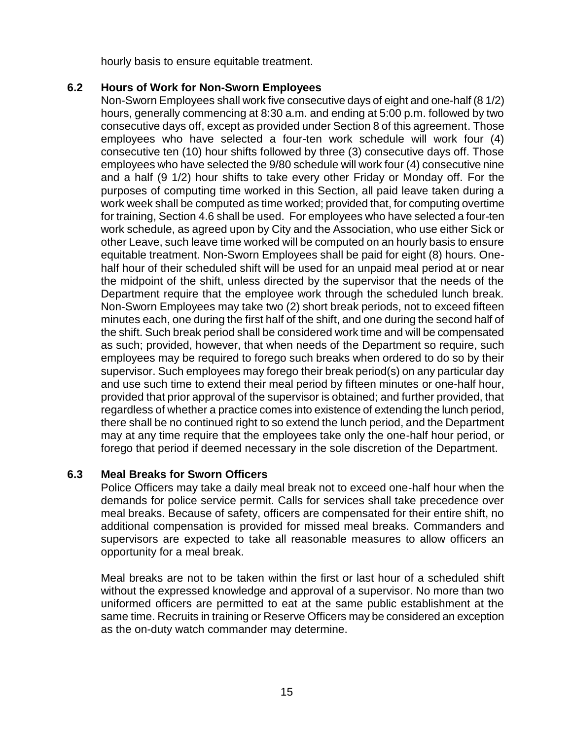hourly basis to ensure equitable treatment.

### **6.2 Hours of Work for Non-Sworn Employees**

Non-Sworn Employees shall work five consecutive days of eight and one-half (8 1/2) hours, generally commencing at 8:30 a.m. and ending at 5:00 p.m. followed by two consecutive days off, except as provided under Section 8 of this agreement. Those employees who have selected a four-ten work schedule will work four (4) consecutive ten (10) hour shifts followed by three (3) consecutive days off. Those employees who have selected the 9/80 schedule will work four (4) consecutive nine and a half (9 1/2) hour shifts to take every other Friday or Monday off. For the purposes of computing time worked in this Section, all paid leave taken during a work week shall be computed as time worked; provided that, for computing overtime for training, Section 4.6 shall be used. For employees who have selected a four-ten work schedule, as agreed upon by City and the Association, who use either Sick or other Leave, such leave time worked will be computed on an hourly basis to ensure equitable treatment. Non-Sworn Employees shall be paid for eight (8) hours. Onehalf hour of their scheduled shift will be used for an unpaid meal period at or near the midpoint of the shift, unless directed by the supervisor that the needs of the Department require that the employee work through the scheduled lunch break. Non-Sworn Employees may take two (2) short break periods, not to exceed fifteen minutes each, one during the first half of the shift, and one during the second half of the shift. Such break period shall be considered work time and will be compensated as such; provided, however, that when needs of the Department so require, such employees may be required to forego such breaks when ordered to do so by their supervisor. Such employees may forego their break period(s) on any particular day and use such time to extend their meal period by fifteen minutes or one-half hour, provided that prior approval of the supervisor is obtained; and further provided, that regardless of whether a practice comes into existence of extending the lunch period, there shall be no continued right to so extend the lunch period, and the Department may at any time require that the employees take only the one-half hour period, or forego that period if deemed necessary in the sole discretion of the Department.

## **6.3 Meal Breaks for Sworn Officers**

Police Officers may take a daily meal break not to exceed one-half hour when the demands for police service permit. Calls for services shall take precedence over meal breaks. Because of safety, officers are compensated for their entire shift, no additional compensation is provided for missed meal breaks. Commanders and supervisors are expected to take all reasonable measures to allow officers an opportunity for a meal break.

Meal breaks are not to be taken within the first or last hour of a scheduled shift without the expressed knowledge and approval of a supervisor. No more than two uniformed officers are permitted to eat at the same public establishment at the same time. Recruits in training or Reserve Officers may be considered an exception as the on-duty watch commander may determine.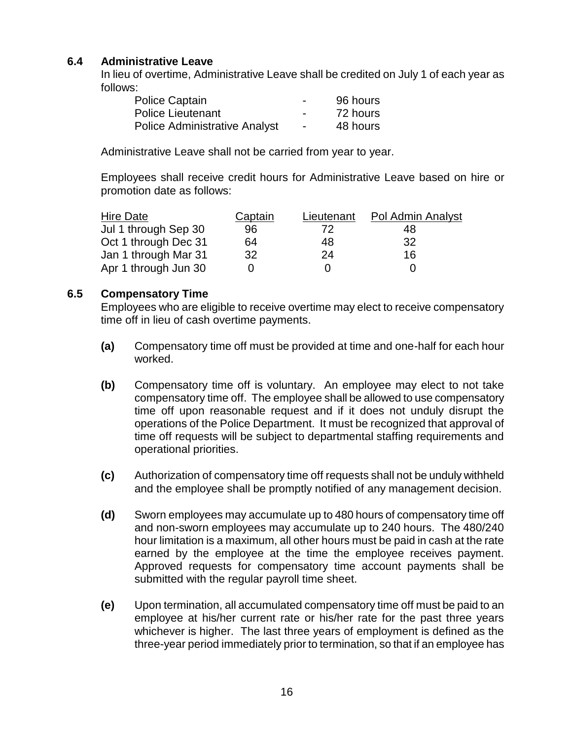### **6.4 Administrative Leave**

In lieu of overtime, Administrative Leave shall be credited on July 1 of each year as follows:

| <b>Police Captain</b>                | $\overline{\phantom{0}}$ | 96 hours |
|--------------------------------------|--------------------------|----------|
| <b>Police Lieutenant</b>             | $\overline{\phantom{0}}$ | 72 hours |
| <b>Police Administrative Analyst</b> | $\blacksquare$           | 48 hours |

Administrative Leave shall not be carried from year to year.

Employees shall receive credit hours for Administrative Leave based on hire or promotion date as follows:

| Hire Date            | <b>Captain</b> | Lieutenant | Pol Admin Analyst |
|----------------------|----------------|------------|-------------------|
| Jul 1 through Sep 30 | 96             | 72         | 48                |
| Oct 1 through Dec 31 | 64             | 48         | 32                |
| Jan 1 through Mar 31 | 32             | 24         | 16                |
| Apr 1 through Jun 30 |                |            |                   |

#### **6.5 Compensatory Time**

Employees who are eligible to receive overtime may elect to receive compensatory time off in lieu of cash overtime payments.

- **(a)** Compensatory time off must be provided at time and one-half for each hour worked.
- **(b)** Compensatory time off is voluntary. An employee may elect to not take compensatory time off. The employee shall be allowed to use compensatory time off upon reasonable request and if it does not unduly disrupt the operations of the Police Department. It must be recognized that approval of time off requests will be subject to departmental staffing requirements and operational priorities.
- **(c)** Authorization of compensatory time off requests shall not be unduly withheld and the employee shall be promptly notified of any management decision.
- **(d)** Sworn employees may accumulate up to 480 hours of compensatory time off and non-sworn employees may accumulate up to 240 hours. The 480/240 hour limitation is a maximum, all other hours must be paid in cash at the rate earned by the employee at the time the employee receives payment. Approved requests for compensatory time account payments shall be submitted with the regular payroll time sheet.
- **(e)** Upon termination, all accumulated compensatory time off must be paid to an employee at his/her current rate or his/her rate for the past three years whichever is higher. The last three years of employment is defined as the three-year period immediately prior to termination, so that if an employee has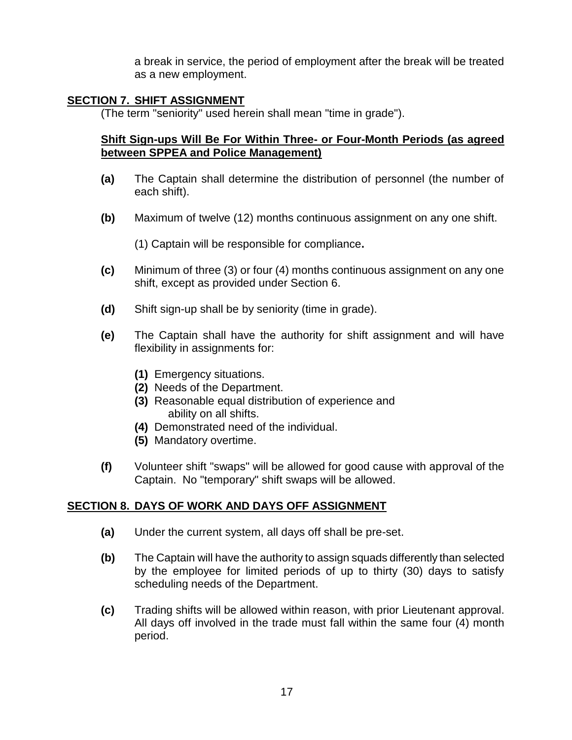a break in service, the period of employment after the break will be treated as a new employment.

#### **SECTION 7. SHIFT ASSIGNMENT**

(The term "seniority" used herein shall mean "time in grade").

#### **Shift Sign-ups Will Be For Within Three- or Four-Month Periods (as agreed between SPPEA and Police Management)**

- **(a)** The Captain shall determine the distribution of personnel (the number of each shift).
- **(b)** Maximum of twelve (12) months continuous assignment on any one shift.

(1) Captain will be responsible for compliance**.**

- **(c)** Minimum of three (3) or four (4) months continuous assignment on any one shift, except as provided under Section 6.
- **(d)** Shift sign-up shall be by seniority (time in grade).
- **(e)** The Captain shall have the authority for shift assignment and will have flexibility in assignments for:
	- **(1)** Emergency situations.
	- **(2)** Needs of the Department.
	- **(3)** Reasonable equal distribution of experience and ability on all shifts.
	- **(4)** Demonstrated need of the individual.
	- **(5)** Mandatory overtime.
- **(f)** Volunteer shift "swaps" will be allowed for good cause with approval of the Captain. No "temporary" shift swaps will be allowed.

#### **SECTION 8. DAYS OF WORK AND DAYS OFF ASSIGNMENT**

- **(a)** Under the current system, all days off shall be pre-set.
- **(b)** The Captain will have the authority to assign squads differently than selected by the employee for limited periods of up to thirty (30) days to satisfy scheduling needs of the Department.
- **(c)** Trading shifts will be allowed within reason, with prior Lieutenant approval. All days off involved in the trade must fall within the same four (4) month period.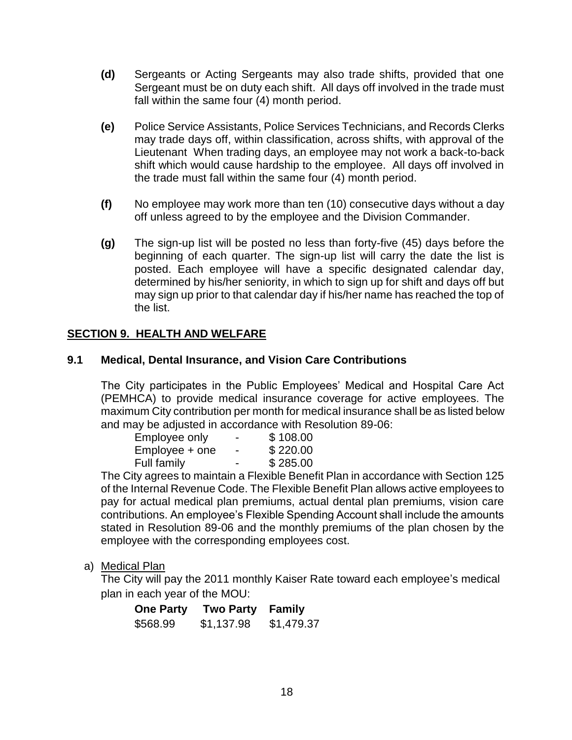- **(d)** Sergeants or Acting Sergeants may also trade shifts, provided that one Sergeant must be on duty each shift. All days off involved in the trade must fall within the same four (4) month period.
- **(e)** Police Service Assistants, Police Services Technicians, and Records Clerks may trade days off, within classification, across shifts, with approval of the Lieutenant When trading days, an employee may not work a back-to-back shift which would cause hardship to the employee. All days off involved in the trade must fall within the same four (4) month period.
- **(f)** No employee may work more than ten (10) consecutive days without a day off unless agreed to by the employee and the Division Commander.
- **(g)** The sign-up list will be posted no less than forty-five (45) days before the beginning of each quarter. The sign-up list will carry the date the list is posted. Each employee will have a specific designated calendar day, determined by his/her seniority, in which to sign up for shift and days off but may sign up prior to that calendar day if his/her name has reached the top of the list.

## **SECTION 9. HEALTH AND WELFARE**

#### **9.1 Medical, Dental Insurance, and Vision Care Contributions**

The City participates in the Public Employees' Medical and Hospital Care Act (PEMHCA) to provide medical insurance coverage for active employees. The maximum City contribution per month for medical insurance shall be as listed below and may be adjusted in accordance with Resolution 89-06:

| Employee only  | -                        | \$108.00 |
|----------------|--------------------------|----------|
| Employee + one | $\overline{\phantom{0}}$ | \$220.00 |
| Full family    | -                        | \$285.00 |

The City agrees to maintain a Flexible Benefit Plan in accordance with Section 125 of the Internal Revenue Code. The Flexible Benefit Plan allows active employees to pay for actual medical plan premiums, actual dental plan premiums, vision care contributions. An employee's Flexible Spending Account shall include the amounts stated in Resolution 89-06 and the monthly premiums of the plan chosen by the employee with the corresponding employees cost.

a) Medical Plan

The City will pay the 2011 monthly Kaiser Rate toward each employee's medical plan in each year of the MOU:

| <b>One Party</b> | <b>Two Party</b> | Family     |
|------------------|------------------|------------|
| \$568.99         | \$1,137.98       | \$1,479.37 |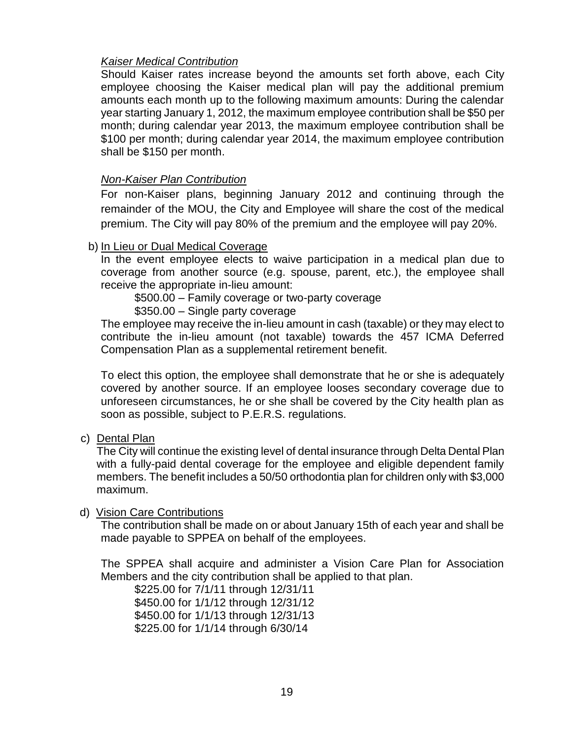#### *Kaiser Medical Contribution*

Should Kaiser rates increase beyond the amounts set forth above, each City employee choosing the Kaiser medical plan will pay the additional premium amounts each month up to the following maximum amounts: During the calendar year starting January 1, 2012, the maximum employee contribution shall be \$50 per month; during calendar year 2013, the maximum employee contribution shall be \$100 per month; during calendar year 2014, the maximum employee contribution shall be \$150 per month.

#### *Non-Kaiser Plan Contribution*

For non-Kaiser plans, beginning January 2012 and continuing through the remainder of the MOU, the City and Employee will share the cost of the medical premium. The City will pay 80% of the premium and the employee will pay 20%.

#### b) In Lieu or Dual Medical Coverage

In the event employee elects to waive participation in a medical plan due to coverage from another source (e.g. spouse, parent, etc.), the employee shall receive the appropriate in-lieu amount:

\$500.00 – Family coverage or two-party coverage

\$350.00 – Single party coverage

The employee may receive the in-lieu amount in cash (taxable) or they may elect to contribute the in-lieu amount (not taxable) towards the 457 ICMA Deferred Compensation Plan as a supplemental retirement benefit.

To elect this option, the employee shall demonstrate that he or she is adequately covered by another source. If an employee looses secondary coverage due to unforeseen circumstances, he or she shall be covered by the City health plan as soon as possible, subject to P.E.R.S. regulations.

c) Dental Plan

The City will continue the existing level of dental insurance through Delta Dental Plan with a fully-paid dental coverage for the employee and eligible dependent family members. The benefit includes a 50/50 orthodontia plan for children only with \$3,000 maximum.

#### d) Vision Care Contributions

The contribution shall be made on or about January 15th of each year and shall be made payable to SPPEA on behalf of the employees.

The SPPEA shall acquire and administer a Vision Care Plan for Association Members and the city contribution shall be applied to that plan.

\$225.00 for 7/1/11 through 12/31/11 \$450.00 for 1/1/12 through 12/31/12 \$450.00 for 1/1/13 through 12/31/13 \$225.00 for 1/1/14 through 6/30/14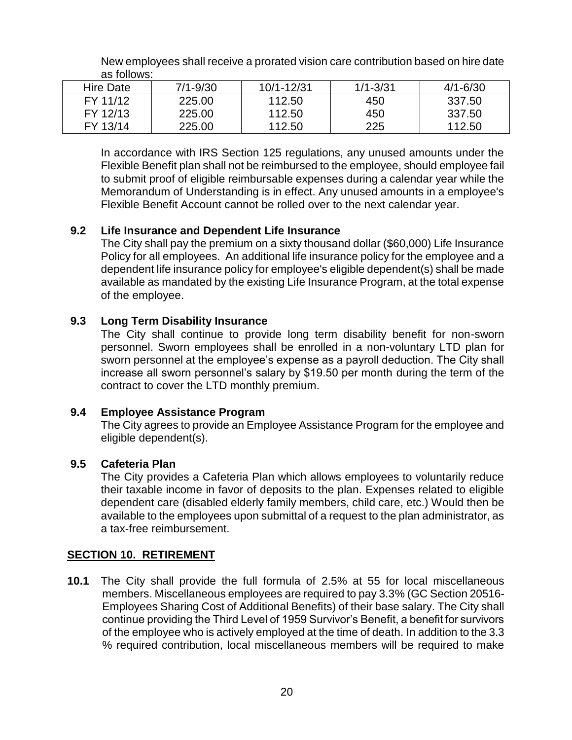| as follows: |          |            |              |              |
|-------------|----------|------------|--------------|--------------|
| Hire Date   | 7/1-9/30 | 10/1-12/31 | $1/1 - 3/31$ | $4/1 - 6/30$ |
| FY 11/12    | 225.00   | 112.50     | 450          | 337.50       |
| FY 12/13    | 225.00   | 112.50     | 450          | 337.50       |

112.50

New employees shall receive a prorated vision care contribution based on hire date as follows:

In accordance with IRS Section 125 regulations, any unused amounts under the Flexible Benefit plan shall not be reimbursed to the employee, should employee fail to submit proof of eligible reimbursable expenses during a calendar year while the Memorandum of Understanding is in effect. Any unused amounts in a employee's Flexible Benefit Account cannot be rolled over to the next calendar year.

225

112.50

## **9.2 Life Insurance and Dependent Life Insurance**

225.00

The City shall pay the premium on a sixty thousand dollar (\$60,000) Life Insurance Policy for all employees. An additional life insurance policy for the employee and a dependent life insurance policy for employee's eligible dependent(s) shall be made available as mandated by the existing Life Insurance Program, at the total expense of the employee.

#### **9.3 Long Term Disability Insurance**

The City shall continue to provide long term disability benefit for non-sworn personnel. Sworn employees shall be enrolled in a non-voluntary LTD plan for sworn personnel at the employee's expense as a payroll deduction. The City shall increase all sworn personnel's salary by \$19.50 per month during the term of the contract to cover the LTD monthly premium.

## **9.4 Employee Assistance Program**

The City agrees to provide an Employee Assistance Program for the employee and eligible dependent(s).

#### **9.5 Cafeteria Plan**

FY 13/14

The City provides a Cafeteria Plan which allows employees to voluntarily reduce their taxable income in favor of deposits to the plan. Expenses related to eligible dependent care (disabled elderly family members, child care, etc.) Would then be available to the employees upon submittal of a request to the plan administrator, as a tax-free reimbursement.

#### **SECTION 10. RETIREMENT**

**10.1** The City shall provide the full formula of 2.5% at 55 for local miscellaneous members. Miscellaneous employees are required to pay 3.3% (GC Section 20516- Employees Sharing Cost of Additional Benefits) of their base salary. The City shall continue providing the Third Level of 1959 Survivor's Benefit, a benefit for survivors of the employee who is actively employed at the time of death. In addition to the 3.3 % required contribution, local miscellaneous members will be required to make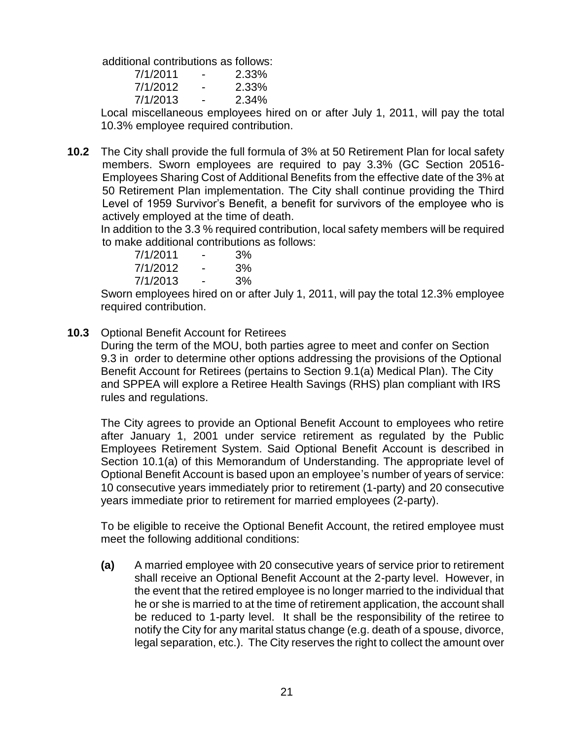additional contributions as follows:

| 7/1/2011 | - | 2.33% |
|----------|---|-------|
| 7/1/2012 | - | 2.33% |
| 7/1/2013 | - | 2.34% |

Local miscellaneous employees hired on or after July 1, 2011, will pay the total 10.3% employee required contribution.

**10.2** The City shall provide the full formula of 3% at 50 Retirement Plan for local safety members. Sworn employees are required to pay 3.3% (GC Section 20516- Employees Sharing Cost of Additional Benefits from the effective date of the 3% at 50 Retirement Plan implementation. The City shall continue providing the Third Level of 1959 Survivor's Benefit, a benefit for survivors of the employee who is actively employed at the time of death.

In addition to the 3.3 % required contribution, local safety members will be required to make additional contributions as follows:

| 7/1/2011 | -                        | 3% |
|----------|--------------------------|----|
| 7/1/2012 | $\overline{\phantom{0}}$ | 3% |
| 7/1/2013 | $\overline{\phantom{0}}$ | 3% |

Sworn employees hired on or after July 1, 2011, will pay the total 12.3% employee required contribution.

**10.3** Optional Benefit Account for Retirees

During the term of the MOU, both parties agree to meet and confer on Section 9.3 in order to determine other options addressing the provisions of the Optional Benefit Account for Retirees (pertains to Section 9.1(a) Medical Plan). The City and SPPEA will explore a Retiree Health Savings (RHS) plan compliant with IRS rules and regulations.

The City agrees to provide an Optional Benefit Account to employees who retire after January 1, 2001 under service retirement as regulated by the Public Employees Retirement System. Said Optional Benefit Account is described in Section 10.1(a) of this Memorandum of Understanding. The appropriate level of Optional Benefit Account is based upon an employee's number of years of service: 10 consecutive years immediately prior to retirement (1-party) and 20 consecutive years immediate prior to retirement for married employees (2-party).

To be eligible to receive the Optional Benefit Account, the retired employee must meet the following additional conditions:

**(a)** A married employee with 20 consecutive years of service prior to retirement shall receive an Optional Benefit Account at the 2-party level. However, in the event that the retired employee is no longer married to the individual that he or she is married to at the time of retirement application, the account shall be reduced to 1-party level. It shall be the responsibility of the retiree to notify the City for any marital status change (e.g. death of a spouse, divorce, legal separation, etc.). The City reserves the right to collect the amount over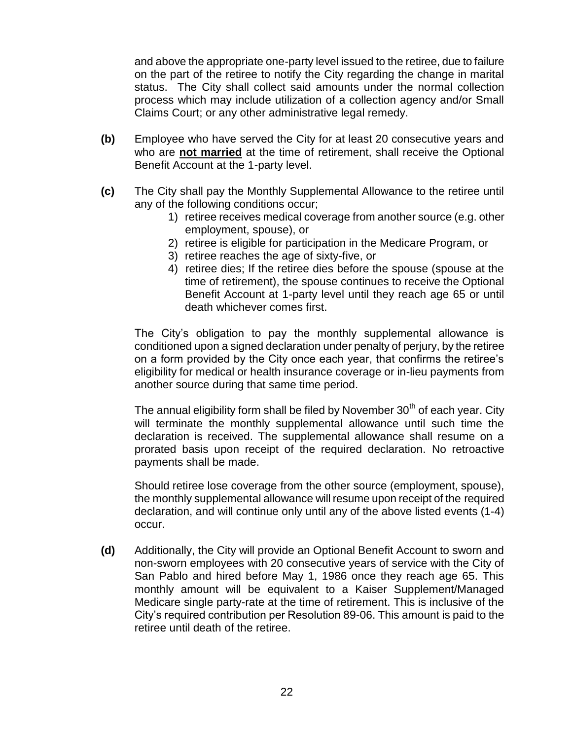and above the appropriate one-party level issued to the retiree, due to failure on the part of the retiree to notify the City regarding the change in marital status. The City shall collect said amounts under the normal collection process which may include utilization of a collection agency and/or Small Claims Court; or any other administrative legal remedy.

- **(b)** Employee who have served the City for at least 20 consecutive years and who are **not married** at the time of retirement, shall receive the Optional Benefit Account at the 1-party level.
- **(c)** The City shall pay the Monthly Supplemental Allowance to the retiree until any of the following conditions occur;
	- 1) retiree receives medical coverage from another source (e.g. other employment, spouse), or
	- 2) retiree is eligible for participation in the Medicare Program, or
	- 3) retiree reaches the age of sixty-five, or
	- 4) retiree dies; If the retiree dies before the spouse (spouse at the time of retirement), the spouse continues to receive the Optional Benefit Account at 1-party level until they reach age 65 or until death whichever comes first.

The City's obligation to pay the monthly supplemental allowance is conditioned upon a signed declaration under penalty of perjury, by the retiree on a form provided by the City once each year, that confirms the retiree's eligibility for medical or health insurance coverage or in-lieu payments from another source during that same time period.

The annual eligibility form shall be filed by November  $30<sup>th</sup>$  of each vear. Citv will terminate the monthly supplemental allowance until such time the declaration is received. The supplemental allowance shall resume on a prorated basis upon receipt of the required declaration. No retroactive payments shall be made.

Should retiree lose coverage from the other source (employment, spouse), the monthly supplemental allowance will resume upon receipt of the required declaration, and will continue only until any of the above listed events (1-4) occur.

**(d)** Additionally, the City will provide an Optional Benefit Account to sworn and non-sworn employees with 20 consecutive years of service with the City of San Pablo and hired before May 1, 1986 once they reach age 65. This monthly amount will be equivalent to a Kaiser Supplement/Managed Medicare single party-rate at the time of retirement. This is inclusive of the City's required contribution per Resolution 89-06. This amount is paid to the retiree until death of the retiree.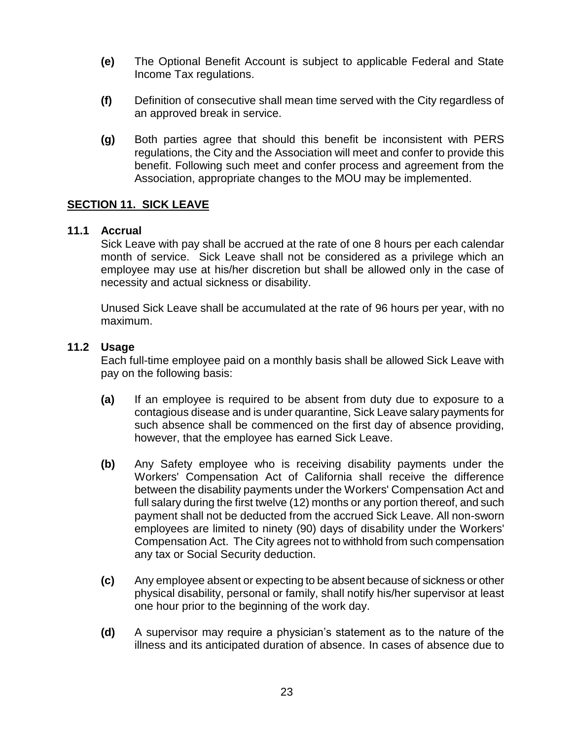- **(e)** The Optional Benefit Account is subject to applicable Federal and State Income Tax regulations.
- **(f)** Definition of consecutive shall mean time served with the City regardless of an approved break in service.
- **(g)** Both parties agree that should this benefit be inconsistent with PERS regulations, the City and the Association will meet and confer to provide this benefit. Following such meet and confer process and agreement from the Association, appropriate changes to the MOU may be implemented.

#### **SECTION 11. SICK LEAVE**

#### **11.1 Accrual**

Sick Leave with pay shall be accrued at the rate of one 8 hours per each calendar month of service. Sick Leave shall not be considered as a privilege which an employee may use at his/her discretion but shall be allowed only in the case of necessity and actual sickness or disability.

Unused Sick Leave shall be accumulated at the rate of 96 hours per year, with no maximum.

#### **11.2 Usage**

Each full-time employee paid on a monthly basis shall be allowed Sick Leave with pay on the following basis:

- **(a)** If an employee is required to be absent from duty due to exposure to a contagious disease and is under quarantine, Sick Leave salary payments for such absence shall be commenced on the first day of absence providing, however, that the employee has earned Sick Leave.
- **(b)** Any Safety employee who is receiving disability payments under the Workers' Compensation Act of California shall receive the difference between the disability payments under the Workers' Compensation Act and full salary during the first twelve (12) months or any portion thereof, and such payment shall not be deducted from the accrued Sick Leave. All non-sworn employees are limited to ninety (90) days of disability under the Workers' Compensation Act. The City agrees not to withhold from such compensation any tax or Social Security deduction.
- **(c)** Any employee absent or expecting to be absent because of sickness or other physical disability, personal or family, shall notify his/her supervisor at least one hour prior to the beginning of the work day.
- **(d)** A supervisor may require a physician's statement as to the nature of the illness and its anticipated duration of absence. In cases of absence due to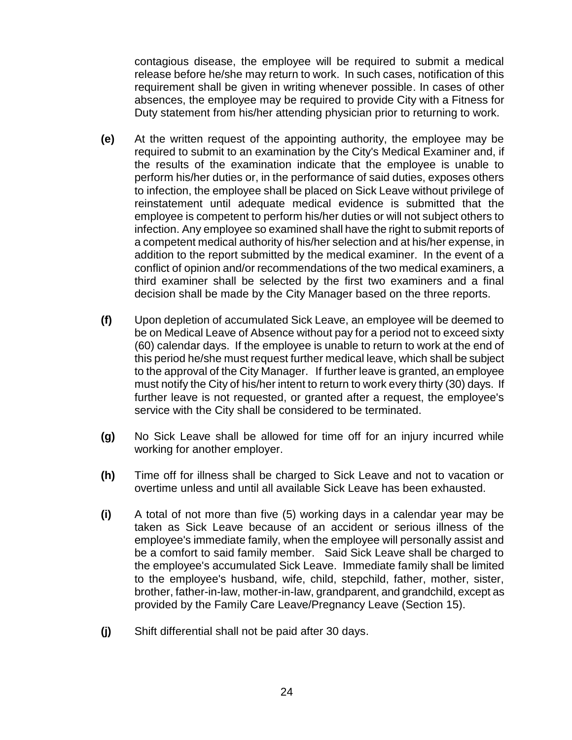contagious disease, the employee will be required to submit a medical release before he/she may return to work. In such cases, notification of this requirement shall be given in writing whenever possible. In cases of other absences, the employee may be required to provide City with a Fitness for Duty statement from his/her attending physician prior to returning to work.

- **(e)** At the written request of the appointing authority, the employee may be required to submit to an examination by the City's Medical Examiner and, if the results of the examination indicate that the employee is unable to perform his/her duties or, in the performance of said duties, exposes others to infection, the employee shall be placed on Sick Leave without privilege of reinstatement until adequate medical evidence is submitted that the employee is competent to perform his/her duties or will not subject others to infection. Any employee so examined shall have the right to submit reports of a competent medical authority of his/her selection and at his/her expense, in addition to the report submitted by the medical examiner. In the event of a conflict of opinion and/or recommendations of the two medical examiners, a third examiner shall be selected by the first two examiners and a final decision shall be made by the City Manager based on the three reports.
- **(f)** Upon depletion of accumulated Sick Leave, an employee will be deemed to be on Medical Leave of Absence without pay for a period not to exceed sixty (60) calendar days. If the employee is unable to return to work at the end of this period he/she must request further medical leave, which shall be subject to the approval of the City Manager. If further leave is granted, an employee must notify the City of his/her intent to return to work every thirty (30) days. If further leave is not requested, or granted after a request, the employee's service with the City shall be considered to be terminated.
- **(g)** No Sick Leave shall be allowed for time off for an injury incurred while working for another employer.
- **(h)** Time off for illness shall be charged to Sick Leave and not to vacation or overtime unless and until all available Sick Leave has been exhausted.
- **(i)** A total of not more than five (5) working days in a calendar year may be taken as Sick Leave because of an accident or serious illness of the employee's immediate family, when the employee will personally assist and be a comfort to said family member. Said Sick Leave shall be charged to the employee's accumulated Sick Leave. Immediate family shall be limited to the employee's husband, wife, child, stepchild, father, mother, sister, brother, father-in-law, mother-in-law, grandparent, and grandchild, except as provided by the Family Care Leave/Pregnancy Leave (Section 15).
- **(j)** Shift differential shall not be paid after 30 days.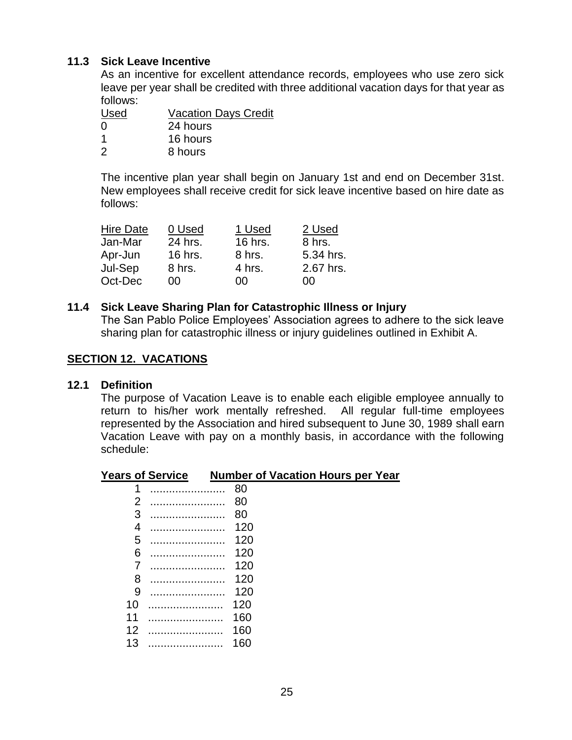#### **11.3 Sick Leave Incentive**

As an incentive for excellent attendance records, employees who use zero sick leave per year shall be credited with three additional vacation days for that year as follows:

| Used     | <b>Vacation Days Credit</b> |
|----------|-----------------------------|
| $\Omega$ | 24 hours                    |
| -1       | 16 hours                    |
| 2        | 8 hours                     |

The incentive plan year shall begin on January 1st and end on December 31st. New employees shall receive credit for sick leave incentive based on hire date as follows:

| <b>Hire Date</b> | 0 Used  | 1 Used  | 2 Used    |
|------------------|---------|---------|-----------|
| Jan-Mar          | 24 hrs. | 16 hrs. | 8 hrs.    |
| Apr-Jun          | 16 hrs. | 8 hrs.  | 5.34 hrs. |
| Jul-Sep          | 8 hrs.  | 4 hrs.  | 2.67 hrs. |
| Oct-Dec          | იი      | იი      | ΩO        |

#### **11.4 Sick Leave Sharing Plan for Catastrophic Illness or Injury**

The San Pablo Police Employees' Association agrees to adhere to the sick leave sharing plan for catastrophic illness or injury guidelines outlined in Exhibit A.

#### **SECTION 12. VACATIONS**

#### **12.1 Definition**

The purpose of Vacation Leave is to enable each eligible employee annually to return to his/her work mentally refreshed. All regular full-time employees represented by the Association and hired subsequent to June 30, 1989 shall earn Vacation Leave with pay on a monthly basis, in accordance with the following schedule:

#### **Years of Service Number of Vacation Hours per Year**

| 1              |   | 80  |
|----------------|---|-----|
| $\overline{2}$ |   | 80  |
| 3              |   | 80  |
| 4              |   | 120 |
| 5              |   | 120 |
| 6              | . | 120 |
| 7              | . | 120 |
| 8              |   | 120 |
| 9              |   | 120 |
| 10             |   | 120 |
| 11             |   | 160 |
| 12             |   | 160 |
| 13             |   | 160 |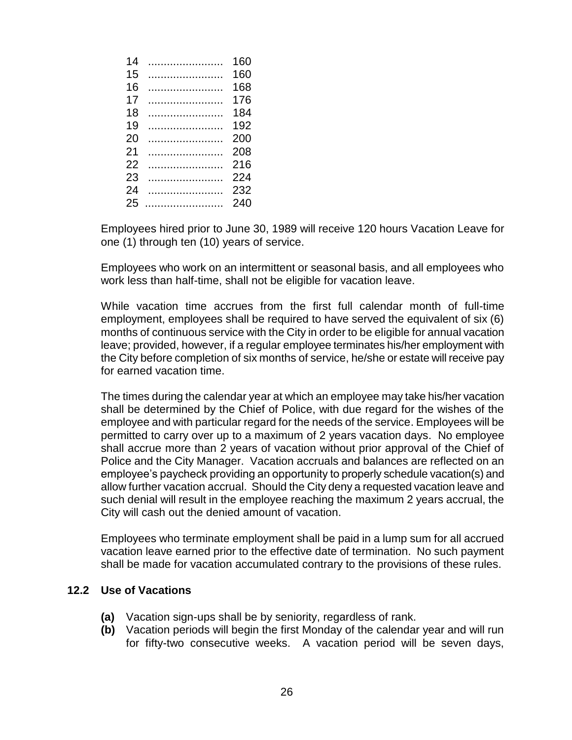| 160 |
|-----|
| 160 |
| 168 |
| 176 |
| 184 |
| 192 |
| 200 |
| 208 |
| 216 |
| 224 |
| 232 |
| 240 |
|     |

Employees hired prior to June 30, 1989 will receive 120 hours Vacation Leave for one (1) through ten (10) years of service.

Employees who work on an intermittent or seasonal basis, and all employees who work less than half-time, shall not be eligible for vacation leave.

While vacation time accrues from the first full calendar month of full-time employment, employees shall be required to have served the equivalent of six (6) months of continuous service with the City in order to be eligible for annual vacation leave; provided, however, if a regular employee terminates his/her employment with the City before completion of six months of service, he/she or estate will receive pay for earned vacation time.

The times during the calendar year at which an employee may take his/her vacation shall be determined by the Chief of Police, with due regard for the wishes of the employee and with particular regard for the needs of the service. Employees will be permitted to carry over up to a maximum of 2 years vacation days. No employee shall accrue more than 2 years of vacation without prior approval of the Chief of Police and the City Manager. Vacation accruals and balances are reflected on an employee's paycheck providing an opportunity to properly schedule vacation(s) and allow further vacation accrual. Should the City deny a requested vacation leave and such denial will result in the employee reaching the maximum 2 years accrual, the City will cash out the denied amount of vacation.

Employees who terminate employment shall be paid in a lump sum for all accrued vacation leave earned prior to the effective date of termination. No such payment shall be made for vacation accumulated contrary to the provisions of these rules.

#### **12.2 Use of Vacations**

- **(a)** Vacation sign-ups shall be by seniority, regardless of rank.
- **(b)** Vacation periods will begin the first Monday of the calendar year and will run for fifty-two consecutive weeks. A vacation period will be seven days,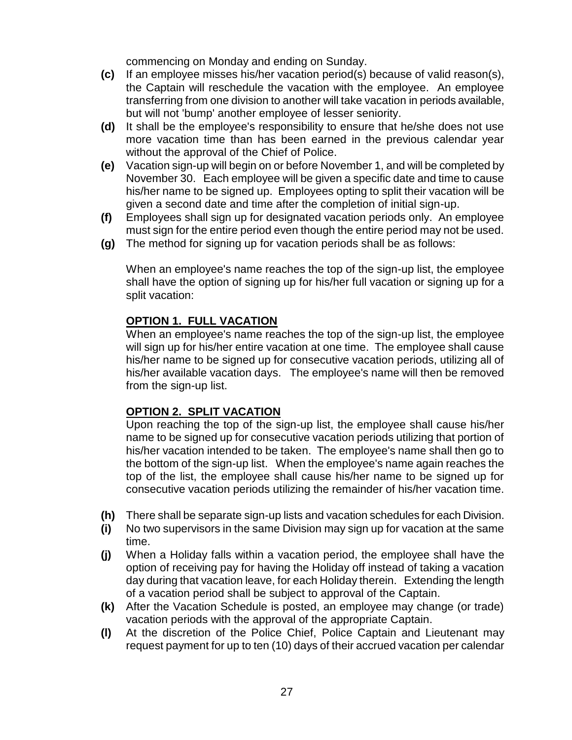commencing on Monday and ending on Sunday.

- **(c)** If an employee misses his/her vacation period(s) because of valid reason(s), the Captain will reschedule the vacation with the employee. An employee transferring from one division to another will take vacation in periods available, but will not 'bump' another employee of lesser seniority.
- **(d)** It shall be the employee's responsibility to ensure that he/she does not use more vacation time than has been earned in the previous calendar year without the approval of the Chief of Police.
- **(e)** Vacation sign-up will begin on or before November 1, and will be completed by November 30. Each employee will be given a specific date and time to cause his/her name to be signed up. Employees opting to split their vacation will be given a second date and time after the completion of initial sign-up.
- **(f)** Employees shall sign up for designated vacation periods only. An employee must sign for the entire period even though the entire period may not be used.
- **(g)** The method for signing up for vacation periods shall be as follows:

When an employee's name reaches the top of the sign-up list, the employee shall have the option of signing up for his/her full vacation or signing up for a split vacation:

## **OPTION 1. FULL VACATION**

When an employee's name reaches the top of the sign-up list, the employee will sign up for his/her entire vacation at one time. The employee shall cause his/her name to be signed up for consecutive vacation periods, utilizing all of his/her available vacation days. The employee's name will then be removed from the sign-up list.

## **OPTION 2. SPLIT VACATION**

Upon reaching the top of the sign-up list, the employee shall cause his/her name to be signed up for consecutive vacation periods utilizing that portion of his/her vacation intended to be taken. The employee's name shall then go to the bottom of the sign-up list. When the employee's name again reaches the top of the list, the employee shall cause his/her name to be signed up for consecutive vacation periods utilizing the remainder of his/her vacation time.

- **(h)** There shall be separate sign-up lists and vacation schedules for each Division.
- **(i)** No two supervisors in the same Division may sign up for vacation at the same time.
- **(j)** When a Holiday falls within a vacation period, the employee shall have the option of receiving pay for having the Holiday off instead of taking a vacation day during that vacation leave, for each Holiday therein. Extending the length of a vacation period shall be subject to approval of the Captain.
- **(k)** After the Vacation Schedule is posted, an employee may change (or trade) vacation periods with the approval of the appropriate Captain.
- **(l)** At the discretion of the Police Chief, Police Captain and Lieutenant may request payment for up to ten (10) days of their accrued vacation per calendar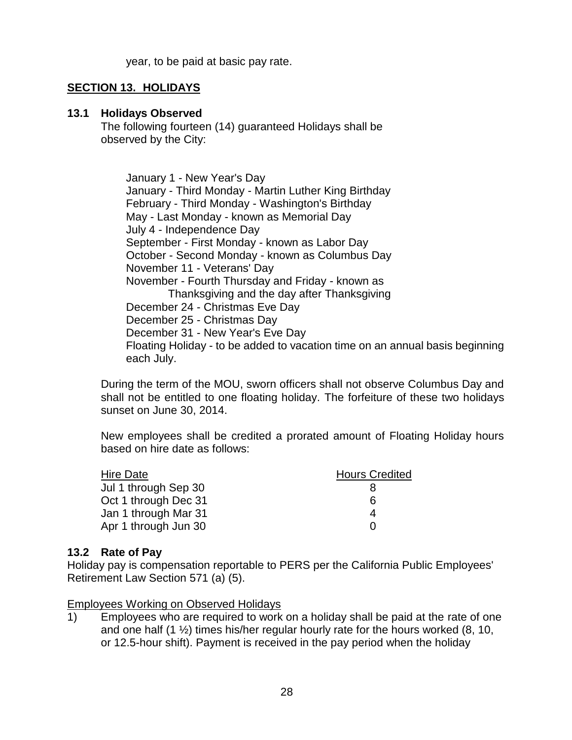year, to be paid at basic pay rate.

#### **SECTION 13. HOLIDAYS**

#### **13.1 Holidays Observed**

The following fourteen (14) guaranteed Holidays shall be observed by the City:

January 1 - New Year's Day January - Third Monday - Martin Luther King Birthday February - Third Monday - Washington's Birthday May - Last Monday - known as Memorial Day July 4 - Independence Day September - First Monday - known as Labor Day October - Second Monday - known as Columbus Day November 11 - Veterans' Day November - Fourth Thursday and Friday - known as Thanksgiving and the day after Thanksgiving December 24 - Christmas Eve Day December 25 - Christmas Day December 31 - New Year's Eve Day Floating Holiday - to be added to vacation time on an annual basis beginning each July.

During the term of the MOU, sworn officers shall not observe Columbus Day and shall not be entitled to one floating holiday. The forfeiture of these two holidays sunset on June 30, 2014.

New employees shall be credited a prorated amount of Floating Holiday hours based on hire date as follows:

| Hire Date            | <b>Hours Credited</b> |
|----------------------|-----------------------|
| Jul 1 through Sep 30 |                       |
| Oct 1 through Dec 31 | 6                     |
| Jan 1 through Mar 31 | 4                     |
| Apr 1 through Jun 30 |                       |

#### **13.2 Rate of Pay**

Holiday pay is compensation reportable to PERS per the California Public Employees' Retirement Law Section 571 (a) (5).

Employees Working on Observed Holidays

1) Employees who are required to work on a holiday shall be paid at the rate of one and one half  $(1 \frac{1}{2})$  times his/her regular hourly rate for the hours worked  $(8, 10, 10)$ or 12.5-hour shift). Payment is received in the pay period when the holiday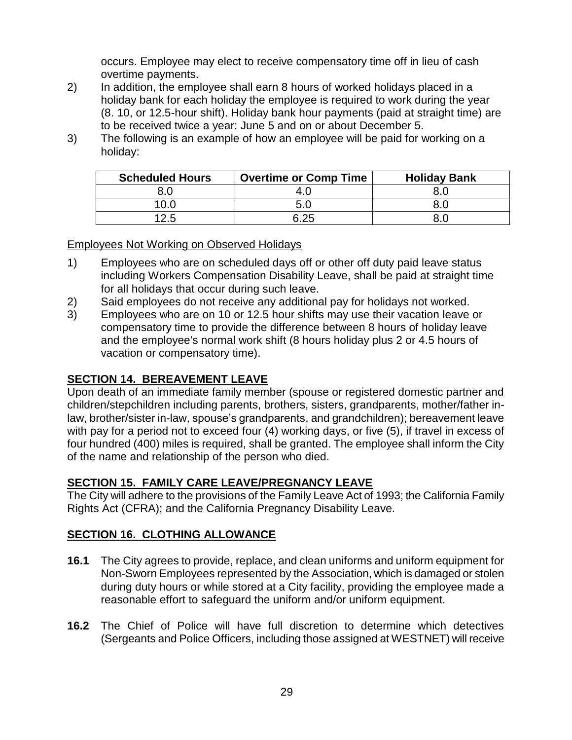occurs. Employee may elect to receive compensatory time off in lieu of cash overtime payments.

- 2) In addition, the employee shall earn 8 hours of worked holidays placed in a holiday bank for each holiday the employee is required to work during the year (8. 10, or 12.5-hour shift). Holiday bank hour payments (paid at straight time) are to be received twice a year: June 5 and on or about December 5.
- 3) The following is an example of how an employee will be paid for working on a holiday:

| <b>Scheduled Hours</b> | <b>Overtime or Comp Time</b> | <b>Holiday Bank</b> |
|------------------------|------------------------------|---------------------|
|                        | 4.U                          |                     |
| 10.C                   | 5.0                          |                     |
| 12.5                   | 6.25                         |                     |

Employees Not Working on Observed Holidays

- 1) Employees who are on scheduled days off or other off duty paid leave status including Workers Compensation Disability Leave, shall be paid at straight time for all holidays that occur during such leave.
- 2) Said employees do not receive any additional pay for holidays not worked.
- 3) Employees who are on 10 or 12.5 hour shifts may use their vacation leave or compensatory time to provide the difference between 8 hours of holiday leave and the employee's normal work shift (8 hours holiday plus 2 or 4.5 hours of vacation or compensatory time).

## **SECTION 14. BEREAVEMENT LEAVE**

Upon death of an immediate family member (spouse or registered domestic partner and children/stepchildren including parents, brothers, sisters, grandparents, mother/father inlaw, brother/sister in-law, spouse's grandparents, and grandchildren); bereavement leave with pay for a period not to exceed four (4) working days, or five (5), if travel in excess of four hundred (400) miles is required, shall be granted. The employee shall inform the City of the name and relationship of the person who died.

## **SECTION 15. FAMILY CARE LEAVE/PREGNANCY LEAVE**

The City will adhere to the provisions of the Family Leave Act of 1993; the California Family Rights Act (CFRA); and the California Pregnancy Disability Leave.

## **SECTION 16. CLOTHING ALLOWANCE**

- **16.1** The City agrees to provide, replace, and clean uniforms and uniform equipment for Non-Sworn Employees represented by the Association, which is damaged or stolen during duty hours or while stored at a City facility, providing the employee made a reasonable effort to safeguard the uniform and/or uniform equipment.
- **16.2** The Chief of Police will have full discretion to determine which detectives (Sergeants and Police Officers, including those assigned at WESTNET) will receive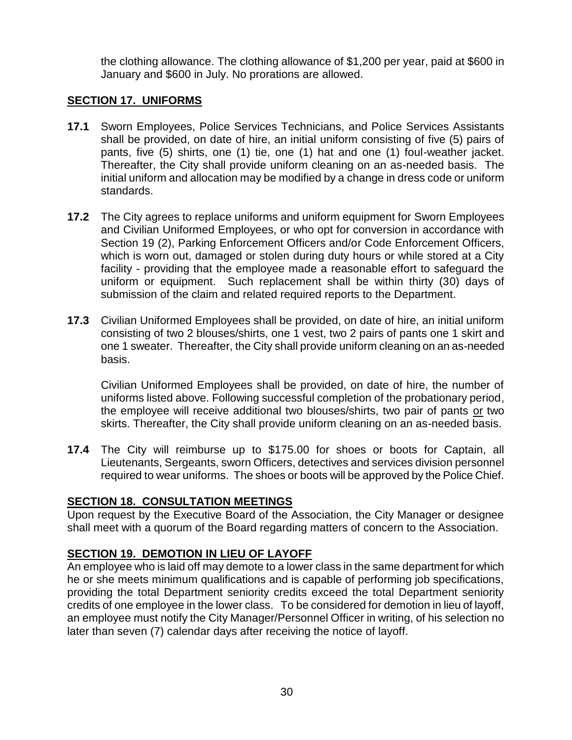the clothing allowance. The clothing allowance of \$1,200 per year, paid at \$600 in January and \$600 in July. No prorations are allowed.

#### **SECTION 17. UNIFORMS**

- **17.1** Sworn Employees, Police Services Technicians, and Police Services Assistants shall be provided, on date of hire, an initial uniform consisting of five (5) pairs of pants, five (5) shirts, one (1) tie, one (1) hat and one (1) foul-weather jacket. Thereafter, the City shall provide uniform cleaning on an as-needed basis. The initial uniform and allocation may be modified by a change in dress code or uniform standards.
- **17.2** The City agrees to replace uniforms and uniform equipment for Sworn Employees and Civilian Uniformed Employees, or who opt for conversion in accordance with Section 19 (2), Parking Enforcement Officers and/or Code Enforcement Officers, which is worn out, damaged or stolen during duty hours or while stored at a City facility - providing that the employee made a reasonable effort to safeguard the uniform or equipment. Such replacement shall be within thirty (30) days of submission of the claim and related required reports to the Department.
- **17.3** Civilian Uniformed Employees shall be provided, on date of hire, an initial uniform consisting of two 2 blouses/shirts, one 1 vest, two 2 pairs of pants one 1 skirt and one 1 sweater. Thereafter, the City shall provide uniform cleaning on an as-needed basis.

Civilian Uniformed Employees shall be provided, on date of hire, the number of uniforms listed above. Following successful completion of the probationary period, the employee will receive additional two blouses/shirts, two pair of pants or two skirts. Thereafter, the City shall provide uniform cleaning on an as-needed basis.

**17.4** The City will reimburse up to \$175.00 for shoes or boots for Captain, all Lieutenants, Sergeants, sworn Officers, detectives and services division personnel required to wear uniforms. The shoes or boots will be approved by the Police Chief.

#### **SECTION 18. CONSULTATION MEETINGS**

Upon request by the Executive Board of the Association, the City Manager or designee shall meet with a quorum of the Board regarding matters of concern to the Association.

## **SECTION 19. DEMOTION IN LIEU OF LAYOFF**

An employee who is laid off may demote to a lower class in the same department for which he or she meets minimum qualifications and is capable of performing job specifications, providing the total Department seniority credits exceed the total Department seniority credits of one employee in the lower class. To be considered for demotion in lieu of layoff, an employee must notify the City Manager/Personnel Officer in writing, of his selection no later than seven (7) calendar days after receiving the notice of layoff.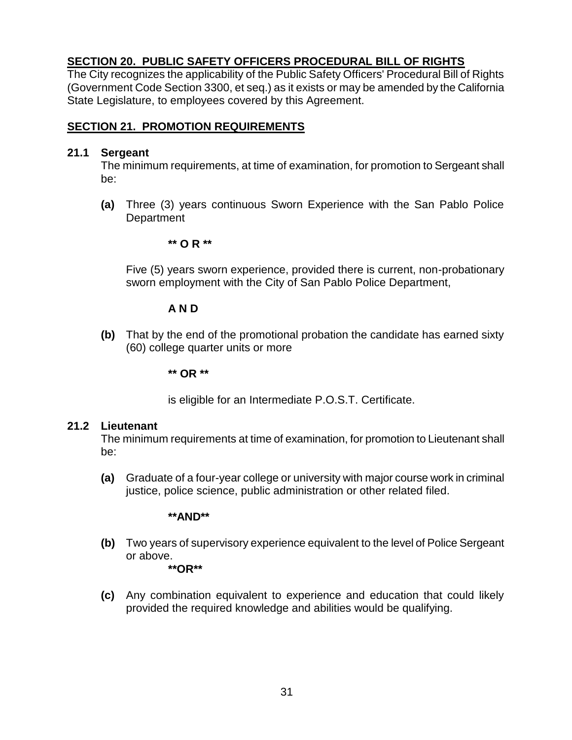## **SECTION 20. PUBLIC SAFETY OFFICERS PROCEDURAL BILL OF RIGHTS**

The City recognizes the applicability of the Public Safety Officers' Procedural Bill of Rights (Government Code Section 3300, et seq.) as it exists or may be amended by the California State Legislature, to employees covered by this Agreement.

#### **SECTION 21. PROMOTION REQUIREMENTS**

#### **21.1 Sergeant**

The minimum requirements, at time of examination, for promotion to Sergeant shall be:

**(a)** Three (3) years continuous Sworn Experience with the San Pablo Police **Department** 

#### **\*\* O R \*\***

Five (5) years sworn experience, provided there is current, non-probationary sworn employment with the City of San Pablo Police Department,

#### **A N D**

**(b)** That by the end of the promotional probation the candidate has earned sixty (60) college quarter units or more

**\*\* OR \*\***

is eligible for an Intermediate P.O.S.T. Certificate.

#### **21.2 Lieutenant**

The minimum requirements at time of examination, for promotion to Lieutenant shall be:

**(a)** Graduate of a four-year college or university with major course work in criminal justice, police science, public administration or other related filed.

#### **\*\*AND\*\***

**(b)** Two years of supervisory experience equivalent to the level of Police Sergeant or above.

**\*\*OR\*\***

**(c)** Any combination equivalent to experience and education that could likely provided the required knowledge and abilities would be qualifying.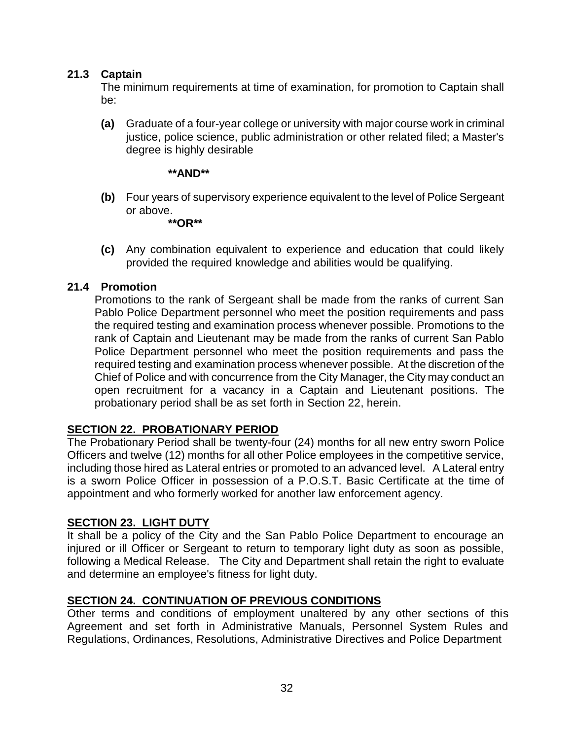#### **21.3 Captain**

The minimum requirements at time of examination, for promotion to Captain shall be:

**(a)** Graduate of a four-year college or university with major course work in criminal justice, police science, public administration or other related filed; a Master's degree is highly desirable

#### **\*\*AND\*\***

**(b)** Four years of supervisory experience equivalent to the level of Police Sergeant or above.

**\*\*OR\*\***

**(c)** Any combination equivalent to experience and education that could likely provided the required knowledge and abilities would be qualifying.

#### **21.4 Promotion**

Promotions to the rank of Sergeant shall be made from the ranks of current San Pablo Police Department personnel who meet the position requirements and pass the required testing and examination process whenever possible. Promotions to the rank of Captain and Lieutenant may be made from the ranks of current San Pablo Police Department personnel who meet the position requirements and pass the required testing and examination process whenever possible. At the discretion of the Chief of Police and with concurrence from the City Manager, the City may conduct an open recruitment for a vacancy in a Captain and Lieutenant positions. The probationary period shall be as set forth in Section 22, herein.

#### **SECTION 22. PROBATIONARY PERIOD**

The Probationary Period shall be twenty-four (24) months for all new entry sworn Police Officers and twelve (12) months for all other Police employees in the competitive service, including those hired as Lateral entries or promoted to an advanced level. A Lateral entry is a sworn Police Officer in possession of a P.O.S.T. Basic Certificate at the time of appointment and who formerly worked for another law enforcement agency.

#### **SECTION 23. LIGHT DUTY**

It shall be a policy of the City and the San Pablo Police Department to encourage an injured or ill Officer or Sergeant to return to temporary light duty as soon as possible, following a Medical Release. The City and Department shall retain the right to evaluate and determine an employee's fitness for light duty.

## **SECTION 24. CONTINUATION OF PREVIOUS CONDITIONS**

Other terms and conditions of employment unaltered by any other sections of this Agreement and set forth in Administrative Manuals, Personnel System Rules and Regulations, Ordinances, Resolutions, Administrative Directives and Police Department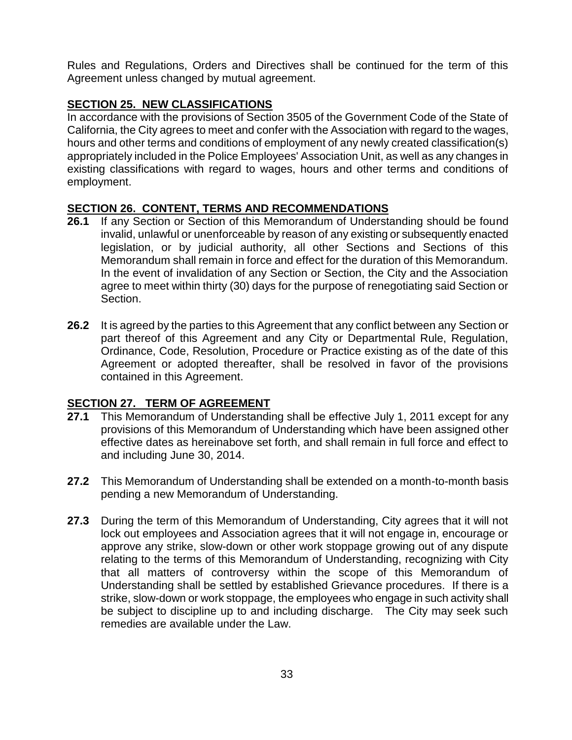Rules and Regulations, Orders and Directives shall be continued for the term of this Agreement unless changed by mutual agreement.

## **SECTION 25. NEW CLASSIFICATIONS**

In accordance with the provisions of Section 3505 of the Government Code of the State of California, the City agrees to meet and confer with the Association with regard to the wages, hours and other terms and conditions of employment of any newly created classification(s) appropriately included in the Police Employees' Association Unit, as well as any changes in existing classifications with regard to wages, hours and other terms and conditions of employment.

## **SECTION 26. CONTENT, TERMS AND RECOMMENDATIONS**

- **26.1** If any Section or Section of this Memorandum of Understanding should be found invalid, unlawful or unenforceable by reason of any existing or subsequently enacted legislation, or by judicial authority, all other Sections and Sections of this Memorandum shall remain in force and effect for the duration of this Memorandum. In the event of invalidation of any Section or Section, the City and the Association agree to meet within thirty (30) days for the purpose of renegotiating said Section or Section.
- **26.2** It is agreed by the parties to this Agreement that any conflict between any Section or part thereof of this Agreement and any City or Departmental Rule, Regulation, Ordinance, Code, Resolution, Procedure or Practice existing as of the date of this Agreement or adopted thereafter, shall be resolved in favor of the provisions contained in this Agreement.

## **SECTION 27. TERM OF AGREEMENT**

- **27.1** This Memorandum of Understanding shall be effective July 1, 2011 except for any provisions of this Memorandum of Understanding which have been assigned other effective dates as hereinabove set forth, and shall remain in full force and effect to and including June 30, 2014.
- **27.2** This Memorandum of Understanding shall be extended on a month-to-month basis pending a new Memorandum of Understanding.
- **27.3** During the term of this Memorandum of Understanding, City agrees that it will not lock out employees and Association agrees that it will not engage in, encourage or approve any strike, slow-down or other work stoppage growing out of any dispute relating to the terms of this Memorandum of Understanding, recognizing with City that all matters of controversy within the scope of this Memorandum of Understanding shall be settled by established Grievance procedures. If there is a strike, slow-down or work stoppage, the employees who engage in such activity shall be subject to discipline up to and including discharge. The City may seek such remedies are available under the Law.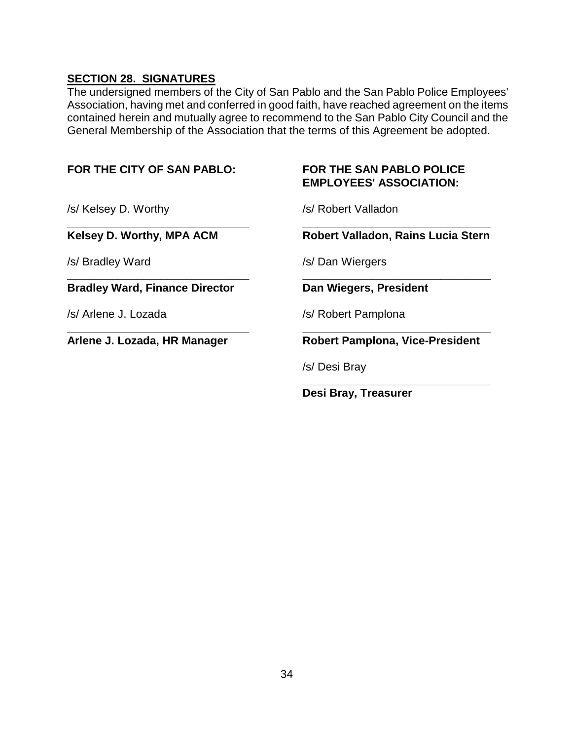## **SECTION 28. SIGNATURES**

The undersigned members of the City of San Pablo and the San Pablo Police Employees' Association, having met and conferred in good faith, have reached agreement on the items contained herein and mutually agree to recommend to the San Pablo City Council and the General Membership of the Association that the terms of this Agreement be adopted.

| FOR THE CITY OF SAN PABLO:            | <b>FOR THE SAN PABLO POLICE</b><br><b>EMPLOYEES' ASSOCIATION:</b> |
|---------------------------------------|-------------------------------------------------------------------|
| /s/ Kelsey D. Worthy                  | /s/ Robert Valladon                                               |
| Kelsey D. Worthy, MPA ACM             | Robert Valladon, Rains Lucia Stern                                |
| /s/ Bradley Ward                      | /s/ Dan Wiergers                                                  |
| <b>Bradley Ward, Finance Director</b> | Dan Wiegers, President                                            |
| /s/ Arlene J. Lozada                  | /s/ Robert Pamplona                                               |
| Arlene J. Lozada, HR Manager          | <b>Robert Pamplona, Vice-President</b>                            |
|                                       | /s/ Desi Bray                                                     |
|                                       | Desi Bray, Treasurer                                              |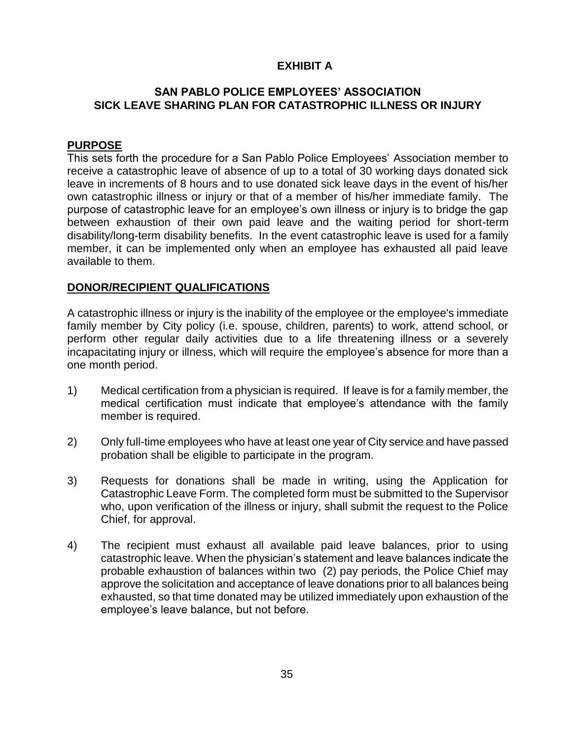#### **EXHIBIT A**

#### **SAN PABLO POLICE EMPLOYEES' ASSOCIATION SICK LEAVE SHARING PLAN FOR CATASTROPHIC ILLNESS OR INJURY**

#### **PURPOSE**

This sets forth the procedure for a San Pablo Police Employees' Association member to receive a catastrophic leave of absence of up to a total of 30 working days donated sick leave in increments of 8 hours and to use donated sick leave days in the event of his/her own catastrophic illness or injury or that of a member of his/her immediate family. The purpose of catastrophic leave for an employee's own illness or injury is to bridge the gap between exhaustion of their own paid leave and the waiting period for short-term disability/long-term disability benefits. In the event catastrophic leave is used for a family member, it can be implemented only when an employee has exhausted all paid leave available to them.

#### **DONOR/RECIPIENT QUALIFICATIONS**

A catastrophic illness or injury is the inability of the employee or the employee's immediate family member by City policy (i.e. spouse, children, parents) to work, attend school, or perform other regular daily activities due to a life threatening illness or a severely incapacitating injury or illness, which will require the employee's absence for more than a one month period.

- 1) Medical certification from a physician is required. If leave is for a family member, the medical certification must indicate that employee's attendance with the family member is required.
- 2) Only full-time employees who have at least one year of City service and have passed probation shall be eligible to participate in the program.
- 3) Requests for donations shall be made in writing, using the Application for Catastrophic Leave Form. The completed form must be submitted to the Supervisor who, upon verification of the illness or injury, shall submit the request to the Police Chief, for approval.
- 4) The recipient must exhaust all available paid leave balances, prior to using catastrophic leave. When the physician's statement and leave balances indicate the probable exhaustion of balances within two (2) pay periods, the Police Chief may approve the solicitation and acceptance of leave donations prior to all balances being exhausted, so that time donated may be utilized immediately upon exhaustion of the employee's leave balance, but not before.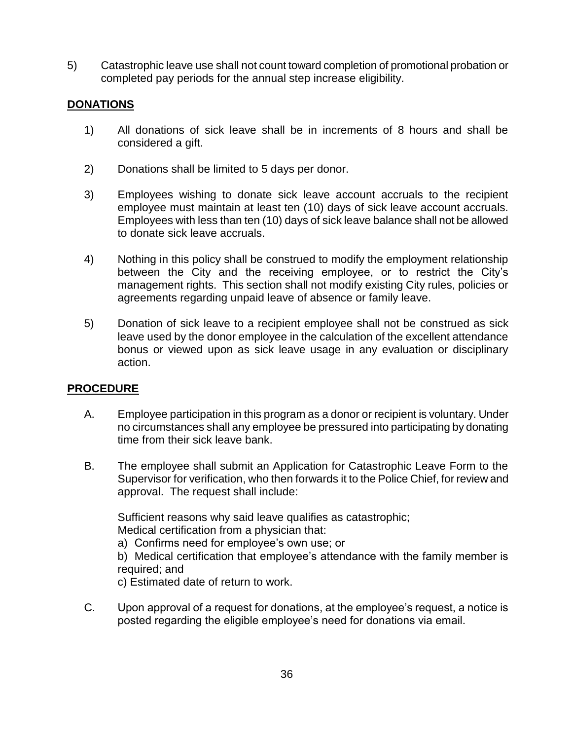5) Catastrophic leave use shall not count toward completion of promotional probation or completed pay periods for the annual step increase eligibility.

#### **DONATIONS**

- 1) All donations of sick leave shall be in increments of 8 hours and shall be considered a gift.
- 2) Donations shall be limited to 5 days per donor.
- 3) Employees wishing to donate sick leave account accruals to the recipient employee must maintain at least ten (10) days of sick leave account accruals. Employees with less than ten (10) days of sick leave balance shall not be allowed to donate sick leave accruals.
- 4) Nothing in this policy shall be construed to modify the employment relationship between the City and the receiving employee, or to restrict the City's management rights. This section shall not modify existing City rules, policies or agreements regarding unpaid leave of absence or family leave.
- 5) Donation of sick leave to a recipient employee shall not be construed as sick leave used by the donor employee in the calculation of the excellent attendance bonus or viewed upon as sick leave usage in any evaluation or disciplinary action.

#### **PROCEDURE**

- A. Employee participation in this program as a donor or recipient is voluntary. Under no circumstances shall any employee be pressured into participating by donating time from their sick leave bank.
- B. The employee shall submit an Application for Catastrophic Leave Form to the Supervisor for verification, who then forwards it to the Police Chief, for review and approval. The request shall include:

Sufficient reasons why said leave qualifies as catastrophic; Medical certification from a physician that:

a) Confirms need for employee's own use; or

b) Medical certification that employee's attendance with the family member is required; and

c) Estimated date of return to work.

C. Upon approval of a request for donations, at the employee's request, a notice is posted regarding the eligible employee's need for donations via email.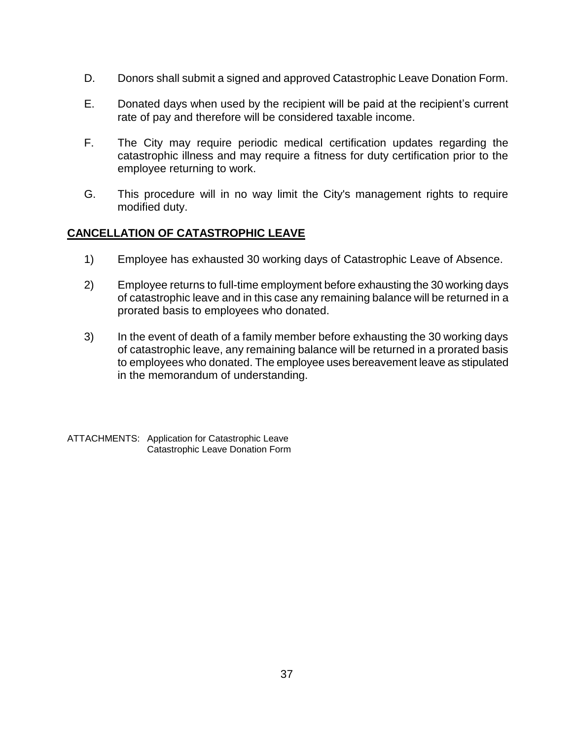- D. Donors shall submit a signed and approved Catastrophic Leave Donation Form.
- E. Donated days when used by the recipient will be paid at the recipient's current rate of pay and therefore will be considered taxable income.
- F. The City may require periodic medical certification updates regarding the catastrophic illness and may require a fitness for duty certification prior to the employee returning to work.
- G. This procedure will in no way limit the City's management rights to require modified duty.

#### **CANCELLATION OF CATASTROPHIC LEAVE**

- 1) Employee has exhausted 30 working days of Catastrophic Leave of Absence.
- 2) Employee returns to full-time employment before exhausting the 30 working days of catastrophic leave and in this case any remaining balance will be returned in a prorated basis to employees who donated.
- 3) In the event of death of a family member before exhausting the 30 working days of catastrophic leave, any remaining balance will be returned in a prorated basis to employees who donated. The employee uses bereavement leave as stipulated in the memorandum of understanding.

ATTACHMENTS: Application for Catastrophic Leave Catastrophic Leave Donation Form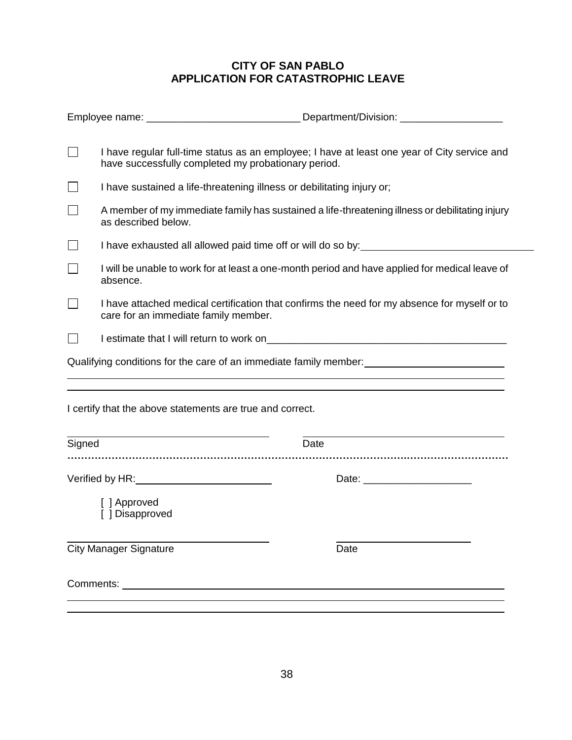## **CITY OF SAN PABLO APPLICATION FOR CATASTROPHIC LEAVE**

|           | I have regular full-time status as an employee; I have at least one year of City service and<br>have successfully completed my probationary period. |                                                                                                                                |
|-----------|-----------------------------------------------------------------------------------------------------------------------------------------------------|--------------------------------------------------------------------------------------------------------------------------------|
|           | I have sustained a life-threatening illness or debilitating injury or;                                                                              |                                                                                                                                |
|           | A member of my immediate family has sustained a life-threatening illness or debilitating injury<br>as described below.                              |                                                                                                                                |
|           | I have exhausted all allowed paid time off or will do so by: ___________________                                                                    |                                                                                                                                |
|           | I will be unable to work for at least a one-month period and have applied for medical leave of<br>absence.                                          |                                                                                                                                |
|           | I have attached medical certification that confirms the need for my absence for myself or to<br>care for an immediate family member.                |                                                                                                                                |
|           |                                                                                                                                                     |                                                                                                                                |
|           |                                                                                                                                                     | Qualifying conditions for the care of an immediate family member:<br><u>Letter and the care of an immediate family member:</u> |
|           | and the control of the control of the control of the control of the control of the control of the control of the                                    |                                                                                                                                |
|           | I certify that the above statements are true and correct.                                                                                           |                                                                                                                                |
| Signed    |                                                                                                                                                     | Date                                                                                                                           |
|           | Verified by HR: Verified by HR:                                                                                                                     |                                                                                                                                |
|           | [ ] Approved<br>[ ] Disapproved                                                                                                                     |                                                                                                                                |
|           | <b>City Manager Signature</b>                                                                                                                       | Date                                                                                                                           |
| Comments: |                                                                                                                                                     |                                                                                                                                |